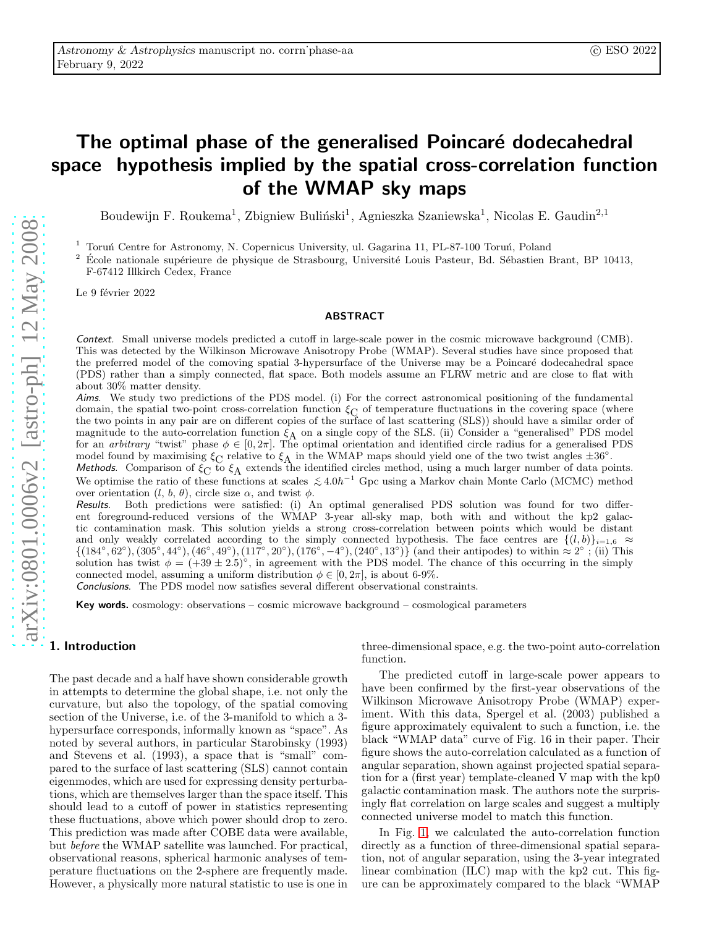# The optimal phase of the generalised Poincaré dodecahedral space hypothesis implied by the spatial cross-correlation function of the WMAP sky maps

Boudewijn F. Roukema<sup>1</sup>, Zbigniew Buliński<sup>1</sup>, Agnieszka Szaniewska<sup>1</sup>, Nicolas E. Gaudin<sup>2,1</sup>

<sup>1</sup> Toruń Centre for Astronomy, N. Copernicus University, ul. Gagarina 11, PL-87-100 Toruń, Poland<br><sup>2</sup> École nationale supérieure de physique de Strasbourg, Université Louis Pasteur, Bd. Sébastien E

Ecole nationale supérieure de physique de Strasbourg, Université Louis Pasteur, Bd. Sébastien Brant, BP 10413, F-67412 Illkirch Cedex, France

Le 9 février 2022

## ABSTRACT

Context. Small universe models predicted a cutoff in large-scale power in the cosmic microwave background (CMB). This was detected by the Wilkinson Microwave Anisotropy Probe (WMAP). Several studies have since proposed that the preferred model of the comoving spatial 3-hypersurface of the Universe may be a Poincaré dodecahedral space (PDS) rather than a simply connected, flat space. Both models assume an FLRW metric and are close to flat with about 30% matter density.

Aims. We study two predictions of the PDS model. (i) For the correct astronomical positioning of the fundamental domain, the spatial two-point cross-correlation function  $\xi_{\rm C}$  of temperature fluctuations in the covering space (where the two points in any pair are on different copies of the surface of last scattering (SLS)) should have a similar order of magnitude to the auto-correlation function  $\xi_A$  on a single copy of the SLS. (ii) Consider a "generalised" PDS model for an *arbitrary* "twist" phase  $\phi \in [0, 2\pi]$ . The optimal orientation and identified circle radius for a generalised PDS

model found by maximising  $\xi_C$  relative to  $\xi_A$  in the WMAP maps should yield one of the two twist angles  $\pm 36^{\circ}$ .<br>Methods. Comparison of  $\xi_C$  to  $\xi_A$  extends the identified circles method, using a much larger num We optimise the ratio of these functions at scales  $\lesssim 4.0h^{-1}$  Gpc using a Markov chain Monte Carlo (MCMC) method over orientation  $(l, b, \theta)$ , circle size  $\alpha$ , and twist  $\phi$ .

Results. Both predictions were satisfied: (i) An optimal generalised PDS solution was found for two different foreground-reduced versions of the WMAP 3-year all-sky map, both with and without the kp2 galactic contamination mask. This solution yields a strong cross-correlation between points which would be distant and only weakly correlated according to the simply connected hypothesis. The face centres are  $\{(l, b)\}_{i=1,6}$   $\approx$  $\{(184^\circ, 62^\circ), (305^\circ, 44^\circ), (46^\circ, 49^\circ), (117^\circ, 20^\circ), (176^\circ, -4^\circ), (240^\circ, 13^\circ)\}$  (and their antipodes) to within  $\approx 2^\circ$ ; (ii) This solution has twist  $\phi = (+39 \pm 2.5)^\circ$ , in agreement with the PDS model. The chance of this occurring in the simply connected model, assuming a uniform distribution  $\phi \in [0, 2\pi]$ , is about 6-9%.

Conclusions. The PDS model now satisfies several different observational constraints.

Key words. cosmology: observations – cosmic microwave background – cosmological parameters

# <span id="page-0-0"></span>1. Introduction

The past decade and a half have shown considerable growth in attempts to determine the global shape, i.e. not only the curvature, but also the topology, of the spatial comoving section of the Universe, i.e. of the 3-manifold to which a 3 hypersurface corresponds, informally known as "space". As noted by several authors, in particular Starobinsky (1993) and Stevens et al. (1993), a space that is "small" compared to the surface of last scattering (SLS) cannot contain eigenmodes, which are used for expressing density perturbations, which are themselves larger than the space itself. This should lead to a cutoff of power in statistics representing these fluctuations, above which power should drop to zero. This prediction was made after COBE data were available, but before the WMAP satellite was launched. For practical, observational reasons, spherical harmonic analyses of temperature fluctuations on the 2-sphere are frequently made. However, a physically more natural statistic to use is one in three-dimensional space, e.g. the two-point auto-correlation function.

The predicted cutoff in large-scale power appears to have been confirmed by the first-year observations of the Wilkinson Microwave Anisotropy Probe (WMAP) experiment. With this data, Spergel et al. (2003) published a figure approximately equivalent to such a function, i.e. the black "WMAP data" curve of Fig. 16 in their paper. Their figure shows the auto-correlation calculated as a function of angular separation, shown against projected spatial separation for a (first year) template-cleaned V map with the kp0 galactic contamination mask. The authors note the surprisingly flat correlation on large scales and suggest a multiply connected universe model to match this function.

In Fig. [1,](#page-1-0) we calculated the auto-correlation function directly as a function of three-dimensional spatial separation, not of angular separation, using the 3-year integrated linear combination (ILC) map with the kp2 cut. This figure can be approximately compared to the black "WMAP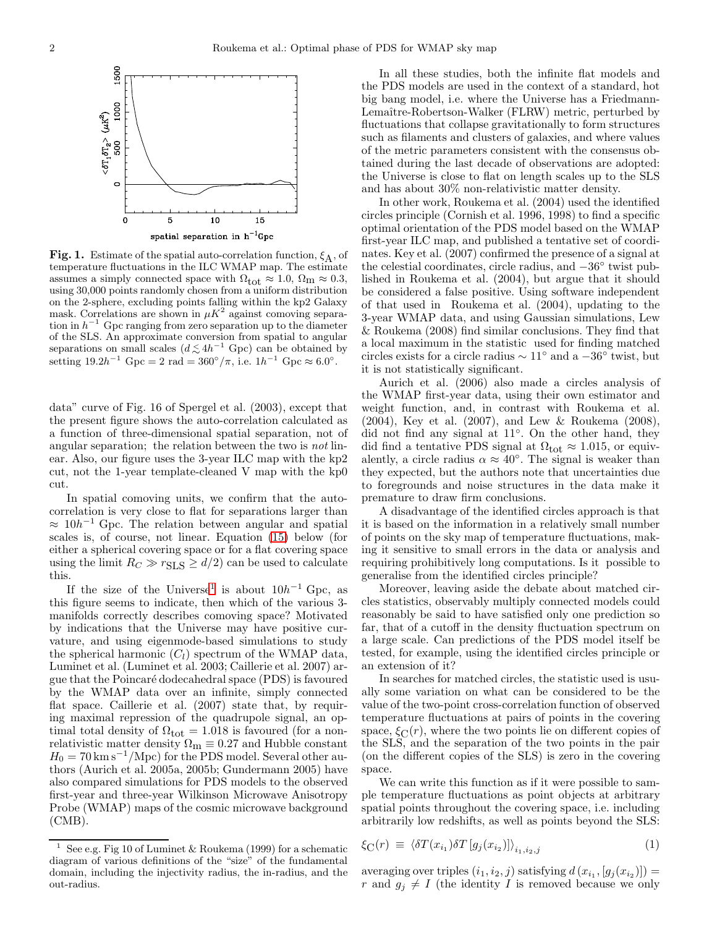

<span id="page-1-0"></span>**Fig. 1.** Estimate of the spatial auto-correlation function,  $\xi_A$ , of temperature fluctuations in the ILC WMAP map. The estimate assumes a simply connected space with  $\Omega_{\text{tot}} \approx 1.0, \Omega_{\text{m}} \approx 0.3,$ using 30,000 points randomly chosen from a uniform distribution on the 2-sphere, excluding points falling within the kp2 Galaxy mask. Correlations are shown in  $\mu K^2$  against comoving separation in  $h^{-1}$  Gpc ranging from zero separation up to the diameter of the SLS. An approximate conversion from spatial to angular separations on small scales  $(d \lesssim 4h^{-1}$  Gpc) can be obtained by setting  $19.2h^{-1}$  Gpc = 2 rad =  $360^{\circ}/\pi$ , i.e.  $1h^{-1}$  Gpc  $\approx 6.0^{\circ}$ .

data" curve of Fig. 16 of Spergel et al. (2003), except that the present figure shows the auto-correlation calculated as a function of three-dimensional spatial separation, not of angular separation; the relation between the two is not linear. Also, our figure uses the 3-year ILC map with the kp2 cut, not the 1-year template-cleaned V map with the kp0 cut.

In spatial comoving units, we confirm that the autocorrelation is very close to flat for separations larger than  $\approx 10h^{-1}$  Gpc. The relation between angular and spatial scales is, of course, not linear. Equation [\(15\)](#page-6-0) below (for either a spherical covering space or for a flat covering space using the limit  $R_C \gg r_{\text{SLS}} \ge d/2$  can be used to calculate this.

If the size of the Universe<sup>[1](#page-1-1)</sup> is about  $10h^{-1}$  Gpc, as this figure seems to indicate, then which of the various 3 manifolds correctly describes comoving space? Motivated by indications that the Universe may have positive curvature, and using eigenmode-based simulations to study the spherical harmonic  $(C_l)$  spectrum of the WMAP data, Luminet et al. (Luminet et al. 2003; Caillerie et al. 2007) argue that the Poincar´e dodecahedral space (PDS) is favoured by the WMAP data over an infinite, simply connected flat space. Caillerie et al. (2007) state that, by requiring maximal repression of the quadrupole signal, an optimal total density of  $\Omega_{\text{tot}} = 1.018$  is favoured (for a nonrelativistic matter density  $\Omega_{\rm m} \equiv 0.27$  and Hubble constant  $H_0 = 70 \,\mathrm{km\,s^{-1}/Mpc}$  for the PDS model. Several other authors (Aurich et al. 2005a, 2005b; Gundermann 2005) have also compared simulations for PDS models to the observed first-year and three-year Wilkinson Microwave Anisotropy Probe (WMAP) maps of the cosmic microwave background (CMB).

In all these studies, both the infinite flat models and the PDS models are used in the context of a standard, hot big bang model, i.e. where the Universe has a Friedmann-Lemaître-Robertson-Walker (FLRW) metric, perturbed by fluctuations that collapse gravitationally to form structures such as filaments and clusters of galaxies, and where values of the metric parameters consistent with the consensus obtained during the last decade of observations are adopted: the Universe is close to flat on length scales up to the SLS and has about 30% non-relativistic matter density.

In other work, Roukema et al. (2004) used the identified circles principle (Cornish et al. 1996, 1998) to find a specific optimal orientation of the PDS model based on the WMAP first-year ILC map, and published a tentative set of coordinates. Key et al. (2007) confirmed the presence of a signal at the celestial coordinates, circle radius, and <sup>−</sup>36◦ twist published in Roukema et al. (2004), but argue that it should be considered a false positive. Using software independent of that used in Roukema et al. (2004), updating to the 3-year WMAP data, and using Gaussian simulations, Lew & Roukema (2008) find similar conclusions. They find that a local maximum in the statistic used for finding matched circles exists for a circle radius  $\sim 11^\circ$  and a  $-36^\circ$  twist, but it is not statistically significant.

Aurich et al. (2006) also made a circles analysis of the WMAP first-year data, using their own estimator and weight function, and, in contrast with Roukema et al. (2004), Key et al. (2007), and Lew & Roukema (2008), did not find any signal at 11◦ . On the other hand, they did find a tentative PDS signal at  $\Omega_{\text{tot}} \approx 1.015$ , or equivalently, a circle radius  $\alpha \approx 40^{\circ}$ . The signal is weaker than they expected, but the authors note that uncertainties due to foregrounds and noise structures in the data make it premature to draw firm conclusions.

A disadvantage of the identified circles approach is that it is based on the information in a relatively small number of points on the sky map of temperature fluctuations, making it sensitive to small errors in the data or analysis and requiring prohibitively long computations. Is it possible to generalise from the identified circles principle?

Moreover, leaving aside the debate about matched circles statistics, observably multiply connected models could reasonably be said to have satisfied only one prediction so far, that of a cutoff in the density fluctuation spectrum on a large scale. Can predictions of the PDS model itself be tested, for example, using the identified circles principle or an extension of it?

In searches for matched circles, the statistic used is usually some variation on what can be considered to be the value of the two-point cross-correlation function of observed temperature fluctuations at pairs of points in the covering space,  $\xi_C(r)$ , where the two points lie on different copies of the SLS, and the separation of the two points in the pair (on the different copies of the SLS) is zero in the covering space.

We can write this function as if it were possible to sample temperature fluctuations as point objects at arbitrary spatial points throughout the covering space, i.e. including arbitrarily low redshifts, as well as points beyond the SLS:

<span id="page-1-2"></span>
$$
\xi_{\mathcal{C}}(r) \equiv \left. \left\langle \delta T(x_{i_1}) \delta T \left[ g_j(x_{i_2}) \right] \right\rangle_{i_1, i_2, j} \right. \tag{1}
$$

averaging over triples  $(i_1, i_2, j)$  satisfying  $d(x_{i_1}, [g_j(x_{i_2})]) =$ r and  $g_j \neq I$  (the identity I is removed because we only

<span id="page-1-1"></span><sup>&</sup>lt;sup>1</sup> See e.g. Fig 10 of Luminet & Roukema (1999) for a schematic diagram of various definitions of the "size" of the fundamental domain, including the injectivity radius, the in-radius, and the out-radius.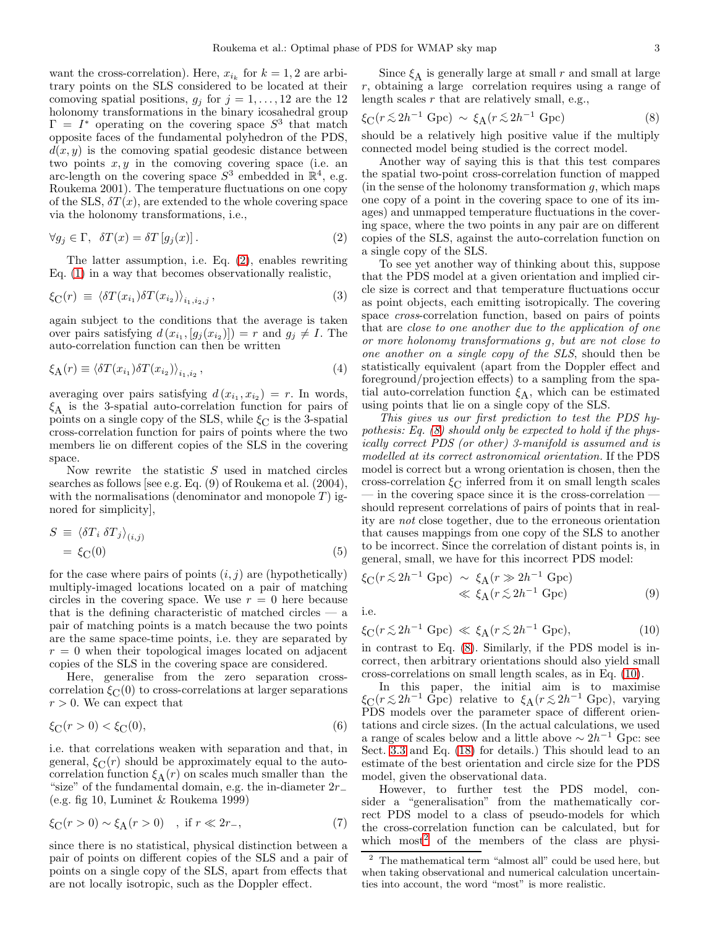want the cross-correlation). Here,  $x_{i_k}$  for  $k = 1, 2$  are arbitrary points on the SLS considered to be located at their comoving spatial positions,  $g_j$  for  $j = 1, \ldots, 12$  are the 12 holonomy transformations in the binary icosahedral group  $\Gamma = I^*$  operating on the covering space  $S^3$  that match opposite faces of the fundamental polyhedron of the PDS,  $d(x, y)$  is the comoving spatial geodesic distance between two points  $x, y$  in the comoving covering space (i.e. an arc-length on the covering space  $S^3$  embedded in  $\mathbb{R}^4$ , e.g. Roukema 2001). The temperature fluctuations on one copy of the SLS,  $\delta T(x)$ , are extended to the whole covering space via the holonomy transformations, i.e.,

<span id="page-2-0"></span>
$$
\forall g_j \in \Gamma, \ \delta T(x) = \delta T \left[ g_j(x) \right]. \tag{2}
$$

The latter assumption, i.e. Eq. [\(2\)](#page-2-0), enables rewriting Eq. [\(1\)](#page-1-2) in a way that becomes observationally realistic,

<span id="page-2-6"></span>
$$
\xi_{\mathcal{C}}(r) \equiv \left\langle \delta T(x_{i_1}) \delta T(x_{i_2}) \right\rangle_{i_1, i_2, j}, \tag{3}
$$

again subject to the conditions that the average is taken over pairs satisfying  $d(x_{i_1}, [g_j(x_{i_2})]) = r$  and  $g_j \neq I$ . The auto-correlation function can then be written

<span id="page-2-5"></span>
$$
\xi_{\mathbf{A}}(r) \equiv \langle \delta T(x_{i_1}) \delta T(x_{i_2}) \rangle_{i_1, i_2}, \tag{4}
$$

averaging over pairs satisfying  $d(x_{i_1}, x_{i_2}) = r$ . In words,  $\xi_A$  is the 3-spatial auto-correlation function for pairs of points on a single copy of the SLS, while  $\xi_C$  is the 3-spatial cross-correlation function for pairs of points where the two members lie on different copies of the SLS in the covering space.

Now rewrite the statistic  $S$  used in matched circles searches as follows [see e.g. Eq. (9) of Roukema et al. (2004), with the normalisations (denominator and monopole  $T$ ) ignored for simplicity],

<span id="page-2-4"></span>
$$
S \equiv \langle \delta T_i \, \delta T_j \rangle_{(i,j)} = \xi_{\text{C}}(0)
$$
 (5)

for the case where pairs of points  $(i, j)$  are (hypothetically) multiply-imaged locations located on a pair of matching circles in the covering space. We use  $r = 0$  here because that is the defining characteristic of matched circles  $-$  a pair of matching points is a match because the two points are the same space-time points, i.e. they are separated by  $r = 0$  when their topological images located on adjacent copies of the SLS in the covering space are considered.

Here, generalise from the zero separation crosscorrelation  $\xi_C(0)$  to cross-correlations at larger separations  $r > 0$ . We can expect that

$$
\xi_{\rm C}(r > 0) < \xi_{\rm C}(0),\tag{6}
$$

i.e. that correlations weaken with separation and that, in general,  $\xi_C(r)$  should be approximately equal to the autocorrelation function  $\xi_A(r)$  on scales much smaller than the "size" of the fundamental domain, e.g. the in-diameter  $2r_-\,$ (e.g. fig 10, Luminet & Roukema 1999)

$$
\xi_{\mathcal{C}}(r>0) \sim \xi_{\mathcal{A}}(r>0) \quad , \text{ if } r \ll 2r_{-}, \tag{7}
$$

since there is no statistical, physical distinction between a pair of points on different copies of the SLS and a pair of points on a single copy of the SLS, apart from effects that are not locally isotropic, such as the Doppler effect.

Since  $\xi_A$  is generally large at small r and small at large r, obtaining a large correlation requires using a range of length scales  $r$  that are relatively small, e.g.,

<span id="page-2-1"></span>
$$
\xi_{\rm C}(r \lesssim 2h^{-1} \text{ Gpc}) \sim \xi_{\rm A}(r \lesssim 2h^{-1} \text{ Gpc})
$$
 (8)

should be a relatively high positive value if the multiply connected model being studied is the correct model.

Another way of saying this is that this test compares the spatial two-point cross-correlation function of mapped  $(n + 1)$  (in the sense of the holonomy transformation g, which maps one copy of a point in the covering space to one of its images) and unmapped temperature fluctuations in the covering space, where the two points in any pair are on different copies of the SLS, against the auto-correlation function on a single copy of the SLS.

To see yet another way of thinking about this, suppose that the PDS model at a given orientation and implied circle size is correct and that temperature fluctuations occur as point objects, each emitting isotropically. The covering space cross-correlation function, based on pairs of points that are close to one another due to the application of one or more holonomy transformations g, but are not close to one another on a single copy of the SLS, should then be statistically equivalent (apart from the Doppler effect and foreground/projection effects) to a sampling from the spatial auto-correlation function  $\xi_A$ , which can be estimated using points that lie on a single copy of the SLS.

This gives us our first prediction to test the PDS hypothesis: Eq. [\(8\)](#page-2-1) should only be expected to hold if the physically correct PDS (or other) 3-manifold is assumed and is modelled at its correct astronomical orientation. If the PDS model is correct but a wrong orientation is chosen, then the cross-correlation  $\xi_C$  inferred from it on small length scales — in the covering space since it is the cross-correlation should represent correlations of pairs of points that in reality are not close together, due to the erroneous orientation that causes mappings from one copy of the SLS to another to be incorrect. Since the correlation of distant points is, in general, small, we have for this incorrect PDS model:

$$
\xi_{\rm C}(r \lesssim 2h^{-1} \text{ Gpc}) \sim \xi_{\rm A}(r \gg 2h^{-1} \text{ Gpc})
$$
  

$$
\ll \xi_{\rm A}(r \lesssim 2h^{-1} \text{ Gpc})
$$
 (9)

i.e.

<span id="page-2-2"></span>
$$
\xi_{\rm C}(r \lesssim 2h^{-1} \text{ Gpc}) \ll \xi_{\rm A}(r \lesssim 2h^{-1} \text{ Gpc}),\tag{10}
$$

in contrast to Eq. [\(8\)](#page-2-1). Similarly, if the PDS model is incorrect, then arbitrary orientations should also yield small cross-correlations on small length scales, as in Eq. [\(10\)](#page-2-2).

In this paper, the initial aim is to maximise  $\xi_C(r \lesssim 2h^{-1} \text{ Gpc})$  relative to  $\xi_A(r \lesssim 2h^{-1} \text{ Gpc})$ , varying<br>PDS models over the parameter space of different erign PDS models over the parameter space of different orientations and circle sizes. (In the actual calculations, we used a range of scales below and a little above  $\sim 2h^{-1}$  Gpc: see Sect. [3.3](#page-5-0) and Eq. [\(18\)](#page-6-1) for details.) This should lead to an estimate of the best orientation and circle size for the PDS model, given the observational data.

However, to further test the PDS model, consider a "generalisation" from the mathematically correct PDS model to a class of pseudo-models for which the cross-correlation function can be calculated, but for which most<sup>[2](#page-2-3)</sup> of the members of the class are physi-

<span id="page-2-3"></span> $2$  The mathematical term "almost all" could be used here, but when taking observational and numerical calculation uncertainties into account, the word "most" is more realistic.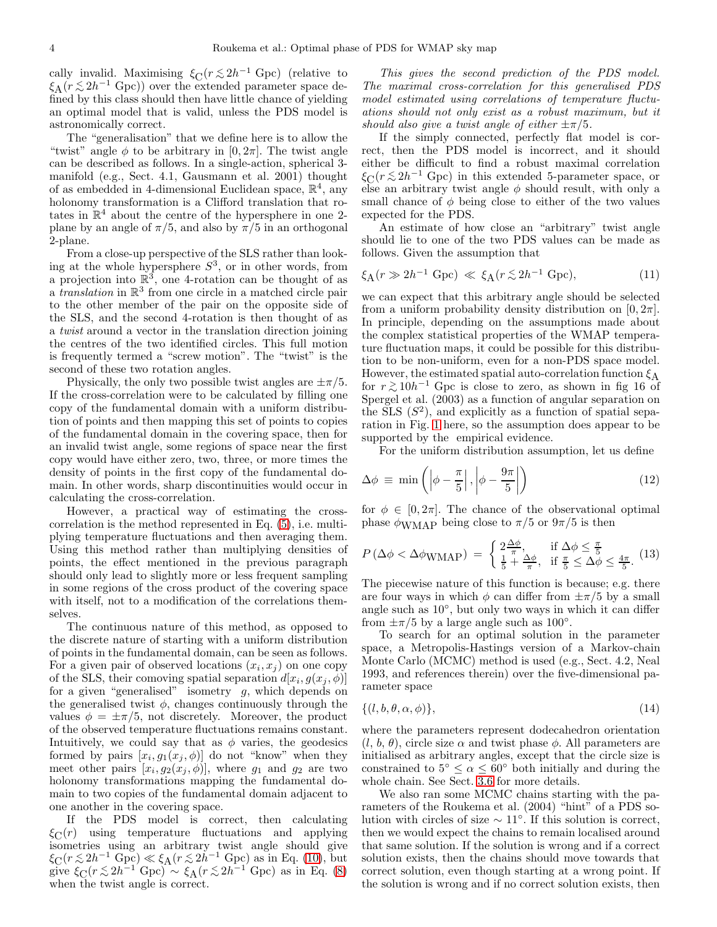cally invalid. Maximising  $\xi_C(r \lesssim 2h^{-1} \text{ Gpc})$  (relative to  $\xi_L(r \lesssim 2h^{-1} \text{ Gpc})$ ) over the extended parameter gases do  $\xi_A(r \lesssim 2h^{-1}$  Gpc)) over the extended parameter space de-<br>fined by this class should than have little change of violding fined by this class should then have little chance of yielding an optimal model that is valid, unless the PDS model is astronomically correct.

The "generalisation" that we define here is to allow the "twist" angle  $\phi$  to be arbitrary in [0, 2 $\pi$ ]. The twist angle can be described as follows. In a single-action, spherical 3 manifold (e.g., Sect. 4.1, Gausmann et al. 2001) thought of as embedded in 4-dimensional Euclidean space,  $\mathbb{R}^4$ , any holonomy transformation is a Clifford translation that rotates in  $\mathbb{R}^4$  about the centre of the hypersphere in one 2plane by an angle of  $\pi/5$ , and also by  $\pi/5$  in an orthogonal 2-plane.

From a close-up perspective of the SLS rather than looking at the whole hypersphere  $S^3$ , or in other words, from a projection into  $\mathbb{R}^3$ , one 4-rotation can be thought of as a *translation* in  $\mathbb{R}^3$  from one circle in a matched circle pair to the other member of the pair on the opposite side of the SLS, and the second 4-rotation is then thought of as a twist around a vector in the translation direction joining the centres of the two identified circles. This full motion is frequently termed a "screw motion". The "twist" is the second of these two rotation angles.

Physically, the only two possible twist angles are  $\pm \pi/5$ . If the cross-correlation were to be calculated by filling one copy of the fundamental domain with a uniform distribution of points and then mapping this set of points to copies of the fundamental domain in the covering space, then for an invalid twist angle, some regions of space near the first copy would have either zero, two, three, or more times the density of points in the first copy of the fundamental domain. In other words, sharp discontinuities would occur in calculating the cross-correlation.

However, a practical way of estimating the crosscorrelation is the method represented in Eq. [\(5\)](#page-2-4), i.e. multiplying temperature fluctuations and then averaging them. Using this method rather than multiplying densities of points, the effect mentioned in the previous paragraph should only lead to slightly more or less frequent sampling in some regions of the cross product of the covering space with itself, not to a modification of the correlations themselves.

The continuous nature of this method, as opposed to the discrete nature of starting with a uniform distribution of points in the fundamental domain, can be seen as follows. For a given pair of observed locations  $(x_i, x_j)$  on one copy of the SLS, their comoving spatial separation  $d[x_i, g(x_j, \phi)]$ for a given "generalised" isometry  $g$ , which depends on the generalised twist  $\phi$ , changes continuously through the values  $\phi = \pm \pi/5$ , not discretely. Moreover, the product of the observed temperature fluctuations remains constant. Intuitively, we could say that as  $\phi$  varies, the geodesics formed by pairs  $[x_i, g_1(x_j, \phi)]$  do not "know" when they meet other pairs  $[x_i, g_2(x_j, \phi)]$ , where  $g_1$  and  $g_2$  are two holonomy transformations mapping the fundamental domain to two copies of the fundamental domain adjacent to one another in the covering space.

If the PDS model is correct, then calculating  $\xi_C(r)$  using temperature fluctuations and applying isometries using an arbitrary twist angle should give  $\xi_C(r \lesssim 2h^{-1} \text{ Gpc}) \ll \xi_A(r \lesssim 2h^{-1} \text{ Gpc})$  as in Eq. [\(10\)](#page-2-2), but<br>sing  $\xi_C(r \lesssim 2h^{-1} \text{ Gpc})$  as  $\xi_L(r \lesssim 2h^{-1} \text{ Gpc})$  as in Eq. (8) give  $\xi_C(r \lesssim 2h^{-1} \text{ Gpc}) \sim \xi_A(r \lesssim 2h^{-1} \text{ Gpc})$  as in Eq. [\(8\)](#page-2-1) when the twist angle is correct.

This gives the second prediction of the PDS model. The maximal cross-correlation for this generalised PDS model estimated using correlations of temperature fluctuations should not only exist as a robust maximum, but it should also give a twist angle of either  $\pm \pi/5$ .

If the simply connected, perfectly flat model is correct, then the PDS model is incorrect, and it should either be difficult to find a robust maximal correlation  $\xi_C(r \lesssim 2h^{-1}$  Gpc) in this extended 5-parameter space, or<br>clear an exhittent twist angle  $\phi$  should result with only a else an arbitrary twist angle  $\phi$  should result, with only a small chance of  $\phi$  being close to either of the two values expected for the PDS.

An estimate of how close an "arbitrary" twist angle should lie to one of the two PDS values can be made as follows. Given the assumption that

$$
\xi_{\mathcal{A}}(r \gg 2h^{-1} \text{ Gpc}) \ll \xi_{\mathcal{A}}(r \lesssim 2h^{-1} \text{ Gpc}),\tag{11}
$$

we can expect that this arbitrary angle should be selected from a uniform probability density distribution on  $[0, 2\pi]$ . In principle, depending on the assumptions made about the complex statistical properties of the WMAP temperature fluctuation maps, it could be possible for this distribution to be non-uniform, even for a non-PDS space model. However, the estimated spatial auto-correlation function  $\xi_A$ for  $r \gtrsim 10h^{-1}$  Gpc is close to zero, as shown in fig 16 of<br>Special et al. (2003) as a function of angular concretion on Spergel et al. (2003) as a function of angular separation on the SLS  $(S^2)$ , and explicitly as a function of spatial separation in Fig. [1](#page-1-0) here, so the assumption does appear to be supported by the empirical evidence.

For the uniform distribution assumption, let us define

<span id="page-3-1"></span>
$$
\Delta \phi \equiv \min \left( \left| \phi - \frac{\pi}{5} \right|, \left| \phi - \frac{9\pi}{5} \right| \right) \tag{12}
$$

for  $\phi \in [0, 2\pi]$ . The chance of the observational optimal phase  $\phi_{\text{WMAP}}$  being close to  $\pi/5$  or  $9\pi/5$  is then

<span id="page-3-2"></span>
$$
P\left(\Delta\phi < \Delta\phi_{\text{WMAP}}\right) \ = \ \begin{cases} \ 2\frac{\Delta\phi}{\pi}, & \text{if } \Delta\phi \leq \frac{\pi}{5} \\ \frac{1}{5} + \frac{\Delta\phi}{\pi}, & \text{if } \frac{\pi}{5} \leq \Delta\phi \leq \frac{4\pi}{5}. \end{cases} \tag{13}
$$

The piecewise nature of this function is because; e.g. there are four ways in which  $\phi$  can differ from  $\pm \pi/5$  by a small angle such as 10◦ , but only two ways in which it can differ from  $\pm \pi/5$  by a large angle such as  $100^\circ$ .

To search for an optimal solution in the parameter space, a Metropolis-Hastings version of a Markov-chain Monte Carlo (MCMC) method is used (e.g., Sect. 4.2, Neal 1993, and references therein) over the five-dimensional parameter space

<span id="page-3-0"></span>
$$
\{(l, b, \theta, \alpha, \phi)\},\tag{14}
$$

where the parameters represent dodecahedron orientation  $(l, b, \theta)$ , circle size  $\alpha$  and twist phase  $\phi$ . All parameters are initialised as arbitrary angles, except that the circle size is constrained to  $5^{\circ} \leq \alpha \leq 60^{\circ}$  both initially and during the whole chain. See Sect. [3.6](#page-7-0) for more details.

We also ran some MCMC chains starting with the parameters of the Roukema et al. (2004) "hint" of a PDS solution with circles of size  $\sim 11^\circ$ . If this solution is correct, then we would expect the chains to remain localised around that same solution. If the solution is wrong and if a correct solution exists, then the chains should move towards that correct solution, even though starting at a wrong point. If the solution is wrong and if no correct solution exists, then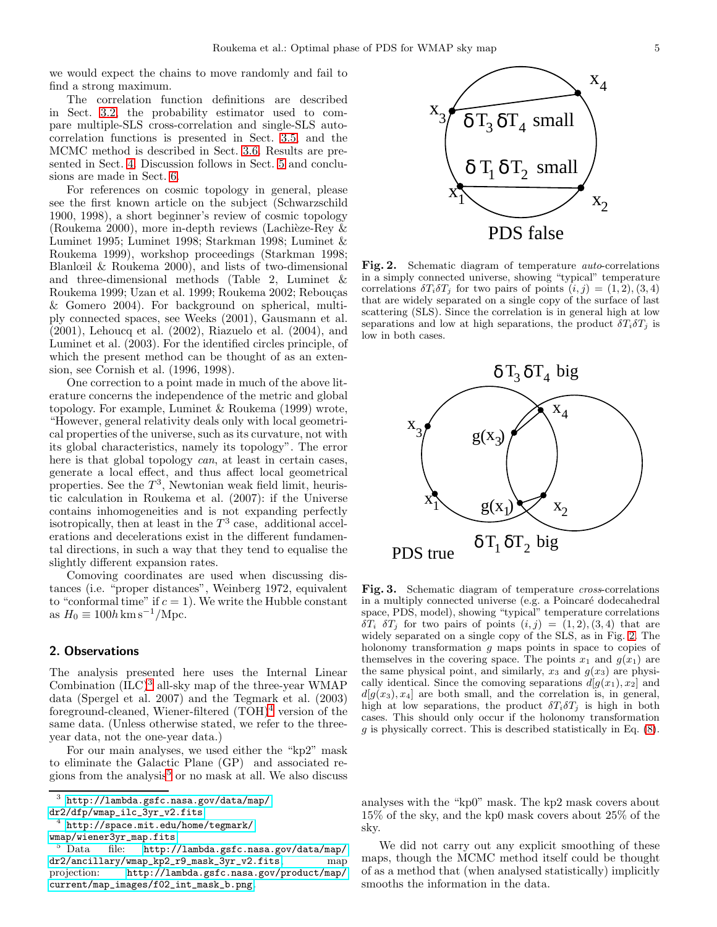we would expect the chains to move randomly and fail to find a strong maximum.

The correlation function definitions are described in Sect. [3.2,](#page-5-1) the probability estimator used to compare multiple-SLS cross-correlation and single-SLS autocorrelation functions is presented in Sect. [3.5,](#page-7-1) and the MCMC method is described in Sect. [3.6.](#page-7-0) Results are presented in Sect. [4.](#page-8-0) Discussion follows in Sect. [5](#page-14-0) and conclusions are made in Sect. [6.](#page-18-0)

For references on cosmic topology in general, please see the first known article on the subject (Schwarzschild 1900, 1998), a short beginner's review of cosmic topology (Roukema 2000), more in-depth reviews (Lachièze-Rey  $\&$ Luminet 1995; Luminet 1998; Starkman 1998; Luminet & Roukema 1999), workshop proceedings (Starkman 1998; Blanlœil & Roukema 2000), and lists of two-dimensional and three-dimensional methods (Table 2, Luminet & Roukema 1999; Uzan et al. 1999; Roukema 2002; Rebouças & Gomero 2004). For background on spherical, multiply connected spaces, see Weeks (2001), Gausmann et al. (2001), Lehoucq et al. (2002), Riazuelo et al. (2004), and Luminet et al. (2003). For the identified circles principle, of which the present method can be thought of as an extension, see Cornish et al. (1996, 1998).

One correction to a point made in much of the above literature concerns the independence of the metric and global topology. For example, Luminet & Roukema (1999) wrote, "However, general relativity deals only with local geometrical properties of the universe, such as its curvature, not with its global characteristics, namely its topology". The error here is that global topology *can*, at least in certain cases, generate a local effect, and thus affect local geometrical properties. See the  $T^3$ , Newtonian weak field limit, heuristic calculation in Roukema et al. (2007): if the Universe contains inhomogeneities and is not expanding perfectly isotropically, then at least in the  $T^3$  case, additional accelerations and decelerations exist in the different fundamental directions, in such a way that they tend to equalise the slightly different expansion rates.

Comoving coordinates are used when discussing distances (i.e. "proper distances", Weinberg 1972, equivalent to "conformal time" if  $c = 1$ ). We write the Hubble constant as  $H_0 \equiv 100h \,\mathrm{km\,s^{-1}}/\mathrm{Mpc}.$ 

## 2. Observations

The analysis presented here uses the Internal Linear Combination  $(ILC)<sup>3</sup>$  $(ILC)<sup>3</sup>$  $(ILC)<sup>3</sup>$  all-sky map of the three-year WMAP data (Spergel et al. 2007) and the Tegmark et al. (2003) foreground-cleaned, Wiener-filtered  $(TOH)^4$  $(TOH)^4$  version of the same data. (Unless otherwise stated, we refer to the threeyear data, not the one-year data.)

For our main analyses, we used either the "kp2" mask to eliminate the Galactic Plane (GP) and associated re-gions from the analysis<sup>[5](#page-4-2)</sup> or no mask at all. We also discuss



<span id="page-4-3"></span>Fig. 2. Schematic diagram of temperature auto-correlations in a simply connected universe, showing "typical" temperature correlations  $\delta T_i \delta T_j$  for two pairs of points  $(i, j) = (1, 2), (3, 4)$ that are widely separated on a single copy of the surface of last scattering (SLS). Since the correlation is in general high at low separations and low at high separations, the product  $\delta T_i \delta T_j$  is low in both cases.



<span id="page-4-4"></span>Fig. 3. Schematic diagram of temperature cross-correlations in a multiply connected universe (e.g. a Poincaré dodecahedral space, PDS, model), showing "typical" temperature correlations  $\delta T_i$   $\delta T_j$  for two pairs of points  $(i, j) = (1, 2), (3, 4)$  that are widely separated on a single copy of the SLS, as in Fig. [2.](#page-4-3) The holonomy transformation g maps points in space to copies of themselves in the covering space. The points  $x_1$  and  $g(x_1)$  are the same physical point, and similarly,  $x_3$  and  $g(x_3)$  are physically identical. Since the comoving separations  $d[q(x_1), x_2]$  and  $d[g(x_3), x_4]$  are both small, and the correlation is, in general, high at low separations, the product  $\delta T_i \delta T_j$  is high in both cases. This should only occur if the holonomy transformation  $g$  is physically correct. This is described statistically in Eq.  $(8)$ .

analyses with the "kp0" mask. The kp2 mask covers about 15% of the sky, and the kp0 mask covers about 25% of the sky.

We did not carry out any explicit smoothing of these maps, though the MCMC method itself could be thought of as a method that (when analysed statistically) implicitly smooths the information in the data.

<sup>3</sup> <http://lambda.gsfc.nasa.gov/data/map/> [dr2/dfp/wmap\\_ilc\\_3yr\\_v2.fits](dr2/dfp/wmap_ilc_3yr_v2.fits)

<span id="page-4-0"></span><sup>4</sup> <http://space.mit.edu/home/tegmark/>

<span id="page-4-2"></span><span id="page-4-1"></span>[wmap/wiener3yr\\_map.fits](wmap/wiener3yr_map.fits)<br>
5 Data file: http:/ file: <http://lambda.gsfc.nasa.gov/data/map/> [dr2/ancillary/wmap\\_kp2\\_r9\\_mask\\_3yr\\_v2.fits](dr2/ancillary/wmap_kp2_r9_mask_3yr_v2.fits), map projection: <http://lambda.gsfc.nasa.gov/product/map/> [current/map\\_images/f02\\_int\\_mask\\_b.png](current/map_images/f02_int_mask_b.png).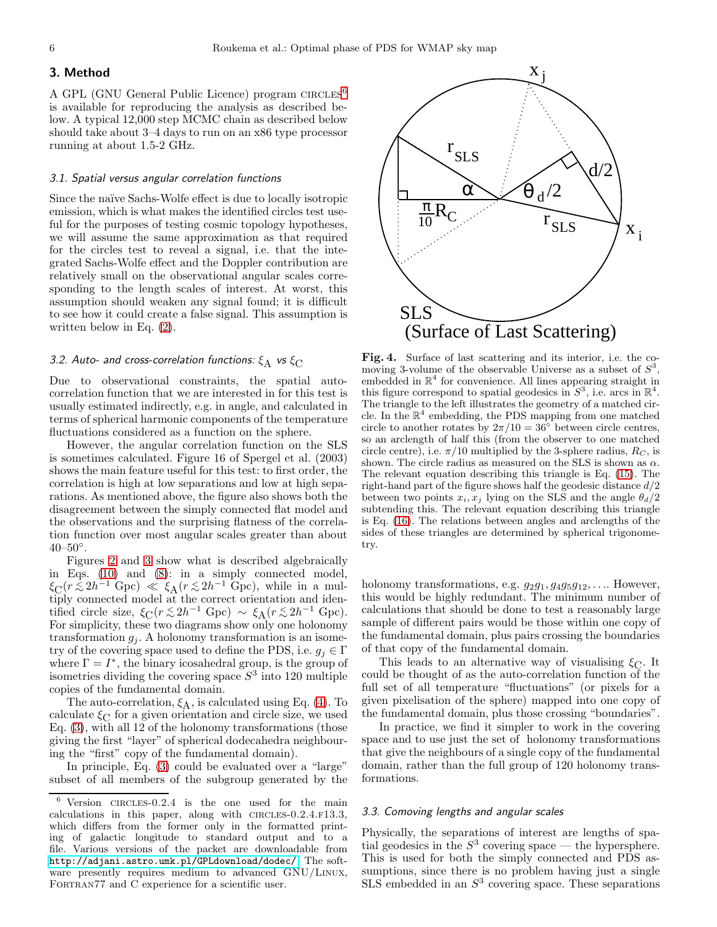## <span id="page-5-4"></span>3. Method

A GPL (GNU General Public Licence) program CIRCLES<sup>[6](#page-5-2)</sup> is available for reproducing the analysis as described below. A typical 12,000 step MCMC chain as described below should take about 3–4 days to run on an x86 type processor running at about 1.5-2 GHz.

## *3.1. Spatial versus angular correlation functions*

Since the naïve Sachs-Wolfe effect is due to locally isotropic emission, which is what makes the identified circles test useful for the purposes of testing cosmic topology hypotheses, we will assume the same approximation as that required for the circles test to reveal a signal, i.e. that the integrated Sachs-Wolfe effect and the Doppler contribution are relatively small on the observational angular scales corresponding to the length scales of interest. At worst, this assumption should weaken any signal found; it is difficult to see how it could create a false signal. This assumption is written below in Eq. [\(2\)](#page-2-0).

#### <span id="page-5-1"></span>*3.2. Auto- and cross-correlation functions:*  $\xi_{\rm A}$  *vs*  $\xi_{\rm C}$

Due to observational constraints, the spatial autocorrelation function that we are interested in for this test is usually estimated indirectly, e.g. in angle, and calculated in terms of spherical harmonic components of the temperature fluctuations considered as a function on the sphere.

However, the angular correlation function on the SLS is sometimes calculated. Figure 16 of Spergel et al. (2003) shows the main feature useful for this test: to first order, the correlation is high at low separations and low at high separations. As mentioned above, the figure also shows both the disagreement between the simply connected flat model and the observations and the surprising flatness of the correlation function over most angular scales greater than about  $40 - 50^{\circ}$ .

Figures [2](#page-4-3) and [3](#page-4-4) show what is described algebraically in Eqs. [\(10\)](#page-2-2) and [\(8\)](#page-2-1): in a simply connected model,  $\xi_C(r \lesssim 2h^{-1} \text{ Gpc}) \ll \xi_A(r \lesssim 2h^{-1} \text{ Gpc})$ , while in a multiply connected model at the correct criptation and identiply connected model at the correct orientation and identified circle size,  $\xi_C(r \lesssim 2h^{-1} \text{ Gpc}) \sim \xi_A(r \lesssim 2h^{-1} \text{ Gpc})$ .<br>For simplicity, these two diagrams show only one helpnomy. For simplicity, these two diagrams show only one holonomy transformation  $g_i$ . A holonomy transformation is an isometry of the covering space used to define the PDS, i.e.  $g_i \in \Gamma$ where  $\Gamma = I^*$ , the binary icosahedral group, is the group of isometries dividing the covering space  $S<sup>3</sup>$  into 120 multiple copies of the fundamental domain.

The auto-correlation,  $\xi_A$ , is calculated using Eq. [\(4\)](#page-2-5). To calculate  $\xi_C$  for a given orientation and circle size, we used Eq. [\(3\)](#page-2-6), with all 12 of the holonomy transformations (those giving the first "layer" of spherical dodecahedra neighbouring the "first" copy of the fundamental domain).

In principle, Eq. [\(3\)](#page-2-6) could be evaluated over a "large" subset of all members of the subgroup generated by the



<span id="page-5-3"></span>Fig. 4. Surface of last scattering and its interior, i.e. the comoving 3-volume of the observable Universe as a subset of  $S^3$ , embedded in  $\mathbb{R}^4$  for convenience. All lines appearing straight in this figure correspond to spatial geodesics in  $S^3$ , i.e. arcs in  $\mathbb{R}^4$ . The triangle to the left illustrates the geometry of a matched circle. In the  $\mathbb{R}^4$  embedding, the PDS mapping from one matched circle to another rotates by  $2\pi/10 = 36^\circ$  between circle centres, so an arclength of half this (from the observer to one matched circle centre), i.e.  $\pi/10$  multiplied by the 3-sphere radius,  $R_C$ , is shown. The circle radius as measured on the SLS is shown as  $\alpha$ . The relevant equation describing this triangle is Eq. [\(15\)](#page-6-0). The right-hand part of the figure shows half the geodesic distance  $d/2$ between two points  $x_i, x_j$  lying on the SLS and the angle  $\theta_d/2$ subtending this. The relevant equation describing this triangle is Eq. [\(16\)](#page-6-2). The relations between angles and arclengths of the sides of these triangles are determined by spherical trigonometry.

holonomy transformations, e.g.  $g_2g_1, g_4g_5g_{12}, \ldots$  However, this would be highly redundant. The minimum number of calculations that should be done to test a reasonably large sample of different pairs would be those within one copy of the fundamental domain, plus pairs crossing the boundaries of that copy of the fundamental domain.

This leads to an alternative way of visualising  $\xi_{\text{C}}$ . It could be thought of as the auto-correlation function of the full set of all temperature "fluctuations" (or pixels for a given pixelisation of the sphere) mapped into one copy of the fundamental domain, plus those crossing "boundaries".

In practice, we find it simpler to work in the covering space and to use just the set of holonomy transformations that give the neighbours of a single copy of the fundamental domain, rather than the full group of 120 holonomy transformations.

## <span id="page-5-0"></span>*3.3. Comoving lengths and angular scales*

Physically, the separations of interest are lengths of spatial geodesics in the  $S^3$  covering space — the hypersphere. This is used for both the simply connected and PDS assumptions, since there is no problem having just a single  $SLS$  embedded in an  $S<sup>3</sup>$  covering space. These separations

<span id="page-5-2"></span> $6$  Version CIRCLES-0.2.4 is the one used for the main calculations in this paper, along with  $CIRCLES-0.2.4.F13.3$ , which differs from the former only in the formatted printing of galactic longitude to standard output and to a file. Various versions of the packet are downloadable from <http://adjani.astro.umk.pl/GPLdownload/dodec/>. The software presently requires medium to advanced GNU/Linux, FORTRAN77 and C experience for a scientific user.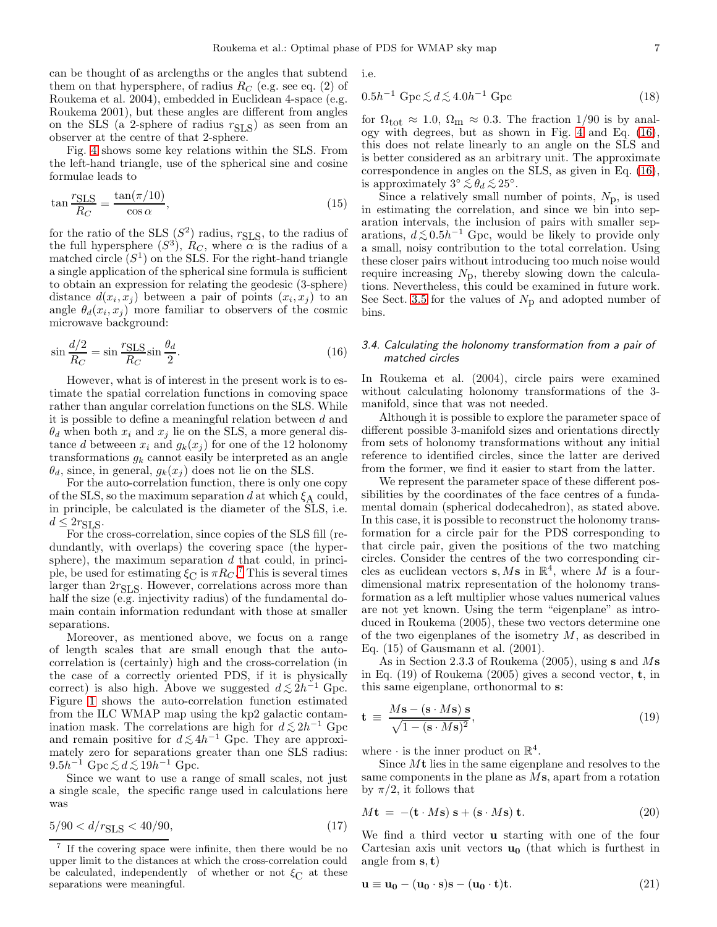can be thought of as arclengths or the angles that subtend them on that hypersphere, of radius  $R_C$  (e.g. see eq. (2) of Roukema et al. 2004), embedded in Euclidean 4-space (e.g. Roukema 2001), but these angles are different from angles on the SLS (a 2-sphere of radius  $r_{\text{SLS}}$ ) as seen from an observer at the centre of that 2-sphere.

Fig. [4](#page-5-3) shows some key relations within the SLS. From the left-hand triangle, use of the spherical sine and cosine formulae leads to

<span id="page-6-0"></span>
$$
\tan \frac{r_{\text{SLS}}}{R_C} = \frac{\tan(\pi/10)}{\cos \alpha},\tag{15}
$$

for the ratio of the  $SLS(S^2)$  radius,  $r_{SLS}$ , to the radius of the full hypersphere  $(S^3)$ ,  $R_C$ , where  $\alpha$  is the radius of a matched circle  $(S<sup>1</sup>)$  on the SLS. For the right-hand triangle a single application of the spherical sine formula is sufficient to obtain an expression for relating the geodesic (3-sphere) distance  $d(x_i, x_j)$  between a pair of points  $(x_i, x_j)$  to an angle  $\theta_d(x_i, x_j)$  more familiar to observers of the cosmic microwave background:

<span id="page-6-2"></span>
$$
\sin \frac{d/2}{R_C} = \sin \frac{r_{\text{SLS}}}{R_C} \sin \frac{\theta_d}{2}.
$$
\n(16)

However, what is of interest in the present work is to estimate the spatial correlation functions in comoving space rather than angular correlation functions on the SLS. While it is possible to define a meaningful relation between d and  $\theta_d$  when both  $x_i$  and  $x_j$  lie on the SLS, a more general distance d betweeen  $x_i$  and  $g_k(x_j)$  for one of the 12 holonomy transformations  $g_k$  cannot easily be interpreted as an angle  $\theta_d$ , since, in general,  $g_k(x_i)$  does not lie on the SLS.

For the auto-correlation function, there is only one copy of the SLS, so the maximum separation d at which  $\xi_A$  could, in principle, be calculated is the diameter of the SLS, i.e.  $d \leq 2r_{\text{SLS}}$ .

For the cross-correlation, since copies of the SLS fill (redundantly, with overlaps) the covering space (the hypersphere), the maximum separation  $d$  that could, in principle, be used for estimating  $\xi_C$  is  $\pi R_C$ .<sup>[7](#page-6-3)</sup> This is several times larger than  $2r_{\text{SLS}}$ . However, correlations across more than half the size (e.g. injectivity radius) of the fundamental domain contain information redundant with those at smaller separations.

Moreover, as mentioned above, we focus on a range of length scales that are small enough that the autocorrelation is (certainly) high and the cross-correlation (in the case of a correctly oriented PDS, if it is physically correct) is also high. Above we suggested  $d \lesssim 2h^{-1}$  Gpc. Figure [1](#page-1-0) shows the auto-correlation function estimated from the ILC WMAP map using the kp2 galactic contamination mask. The correlations are high for  $d \lesssim 2h^{-1}$  Gpc<br>and remain positive for  $d \lesssim 4h^{-1}$  Gpc. They are approxiand remain positive for  $d \lesssim 4h^{-1}$  Gpc. They are approximately zero for concretions greater than one SLS redivered mately zero for separations greater than one SLS radius:  $9.5h^{-1}$  Gpc  $\lesssim d \lesssim 19h^{-1}$  Gpc.<br>Since we went to use a re-

Since we want to use a range of small scales, not just a single scale, the specific range used in calculations here was

$$
5/90 < d/r_{\text{SLS}} < 40/90,\tag{17}
$$

i.e.

<span id="page-6-1"></span>
$$
0.5h^{-1} \operatorname{Gpc} \lesssim d \lesssim 4.0h^{-1} \operatorname{Gpc} \tag{18}
$$

for  $\Omega_{\text{tot}} \approx 1.0$ ,  $\Omega_{\text{m}} \approx 0.3$ . The fraction 1/90 is by analogy with degrees, but as shown in Fig. [4](#page-5-3) and Eq. [\(16\)](#page-6-2), this does not relate linearly to an angle on the SLS and is better considered as an arbitrary unit. The approximate correspondence in angles on the SLS, as given in Eq. [\(16\)](#page-6-2), is approximately  $3° \lesssim \theta_d \lesssim 25°$ .<br>Since a relatively small put

Since a relatively small number of points,  $N_{\rm D}$ , is used in estimating the correlation, and since we bin into separation intervals, the inclusion of pairs with smaller separations,  $d \lesssim 0.5h^{-1}$  Gpc, would be likely to provide only a small, noisy contribution to the total correlation. Using these closer pairs without introducing too much noise would require increasing  $N_{\rm p}$ , thereby slowing down the calculations. Nevertheless, this could be examined in future work. See Sect. [3.5](#page-7-1) for the values of  $N_p$  and adopted number of bins.

## *3.4. Calculating the holonomy transformation from a pair of matched circles*

In Roukema et al. (2004), circle pairs were examined without calculating holonomy transformations of the 3 manifold, since that was not needed.

Although it is possible to explore the parameter space of different possible 3-manifold sizes and orientations directly from sets of holonomy transformations without any initial reference to identified circles, since the latter are derived from the former, we find it easier to start from the latter.

We represent the parameter space of these different possibilities by the coordinates of the face centres of a fundamental domain (spherical dodecahedron), as stated above. In this case, it is possible to reconstruct the holonomy transformation for a circle pair for the PDS corresponding to that circle pair, given the positions of the two matching circles. Consider the centres of the two corresponding circles as euclidean vectors **s**, M**s** in  $\mathbb{R}^4$ , where M is a fourdimensional matrix representation of the holonomy transformation as a left multiplier whose values numerical values are not yet known. Using the term "eigenplane" as introduced in Roukema (2005), these two vectors determine one of the two eigenplanes of the isometry  $M$ , as described in Eq. (15) of Gausmann et al. (2001).

As in Section 2.3.3 of Roukema (2005), using s and Ms in Eq. (19) of Roukema (2005) gives a second vector, t, in this same eigenplane, orthonormal to s:

$$
\mathbf{t} \equiv \frac{M\mathbf{s} - (\mathbf{s} \cdot M\mathbf{s}) \mathbf{s}}{\sqrt{1 - (\mathbf{s} \cdot M\mathbf{s})^2}},\tag{19}
$$

where  $\cdot$  is the inner product on  $\mathbb{R}^4$ .

Since  $Mt$  lies in the same eigenplane and resolves to the same components in the plane as Ms, apart from a rotation by  $\pi/2$ , it follows that

$$
M\mathbf{t} = -(\mathbf{t} \cdot M\mathbf{s}) \mathbf{s} + (\mathbf{s} \cdot M\mathbf{s}) \mathbf{t}.
$$
 (20)

We find a third vector u starting with one of the four Cartesian axis unit vectors  $\mathbf{u}_0$  (that which is furthest in angle from  $s, t$ )

$$
\mathbf{u} \equiv \mathbf{u_0} - (\mathbf{u_0} \cdot \mathbf{s})\mathbf{s} - (\mathbf{u_0} \cdot \mathbf{t})\mathbf{t}.\tag{21}
$$

<span id="page-6-3"></span><sup>7</sup> If the covering space were infinite, then there would be no upper limit to the distances at which the cross-correlation could be calculated, independently of whether or not  $\xi_{\text{C}}$  at these separations were meaningful.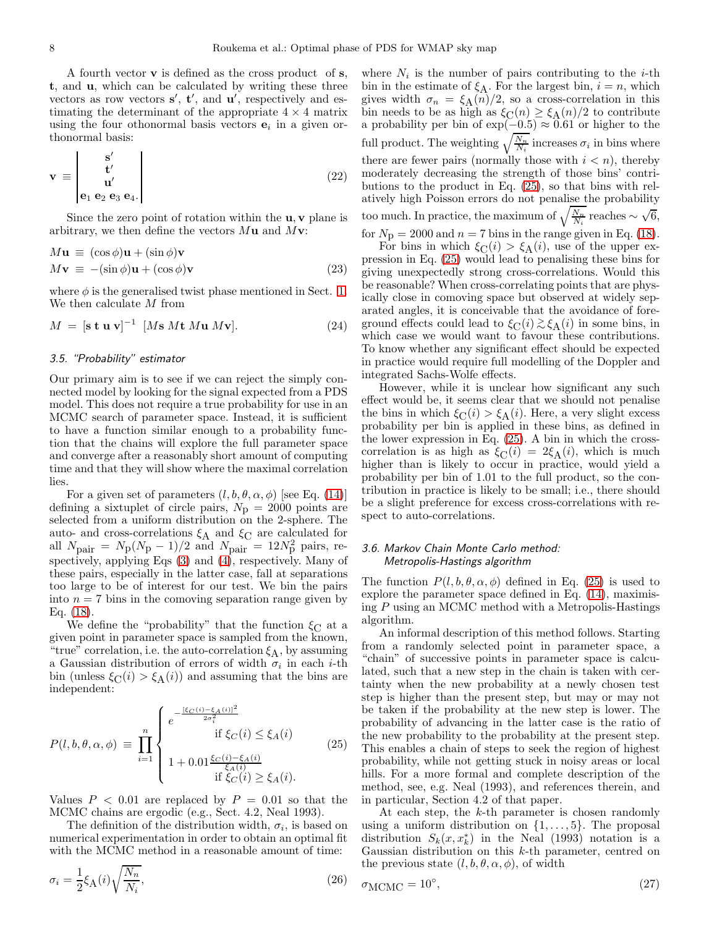A fourth vector v is defined as the cross product of s, t, and u, which can be calculated by writing these three vectors as row vectors  $s'$ ,  $t'$ , and  $u'$ , respectively and estimating the determinant of the appropriate  $4 \times 4$  matrix using the four othonormal basis vectors  $e_i$  in a given orthonormal basis:

$$
\mathbf{v} \equiv \begin{vmatrix} \mathbf{s}' \\ \mathbf{t}' \\ \mathbf{u}' \\ \mathbf{e}_1 \mathbf{e}_2 \mathbf{e}_3 \mathbf{e}_4. \end{vmatrix}
$$
 (22)

Since the zero point of rotation within the  $\mathbf{u}, \mathbf{v}$  plane is arbitrary, we then define the vectors  $M\mathbf{u}$  and  $M\mathbf{v}$ :

$$
Mu \equiv (\cos \phi)u + (\sin \phi)v
$$
  
\n
$$
Mv \equiv -(\sin \phi)u + (\cos \phi)v
$$
\n(23)

where  $\phi$  is the generalised twist phase mentioned in Sect. [1.](#page-0-0) We then calculate  $M$  from

$$
M = [\mathbf{s} \ \mathbf{t} \ \mathbf{u} \ \mathbf{v}]^{-1} \ [Ms \ M \mathbf{t} \ M \mathbf{u} \ M \mathbf{v}]. \tag{24}
$$

#### <span id="page-7-1"></span>*3.5. "Probability" estimator*

Our primary aim is to see if we can reject the simply connected model by looking for the signal expected from a PDS model. This does not require a true probability for use in an MCMC search of parameter space. Instead, it is sufficient to have a function similar enough to a probability function that the chains will explore the full parameter space and converge after a reasonably short amount of computing time and that they will show where the maximal correlation lies.

For a given set of parameters  $(l, b, \theta, \alpha, \phi)$  [see Eq. [\(14\)](#page-3-0)] defining a sixtuplet of circle pairs,  $N_p = 2000$  points are selected from a uniform distribution on the 2-sphere. The auto- and cross-correlations  $\xi_\mathrm{A}$  and<br>  $\xi_\mathrm{C}$  are calculated for all  $N_{\text{pair}} = N_{\text{p}}(N_{\text{p}}-1)/2$  and  $N_{\text{pair}} = 12N_{\text{p}}^2$  pairs, respectively, applying Eqs  $(3)$  and  $(4)$ , respectively. Many of these pairs, especially in the latter case, fall at separations too large to be of interest for our test. We bin the pairs into  $n = 7$  bins in the comoving separation range given by Eq. [\(18\)](#page-6-1).

We define the "probability" that the function  $\xi_{\text{C}}$  at a given point in parameter space is sampled from the known, "true" correlation, i.e. the auto-correlation  $\xi_A$ , by assuming a Gaussian distribution of errors of width  $\sigma_i$  in each *i*-th bin (unless  $\xi_{\text{C}}(i) > \xi_{\text{A}}(i)$ ) and assuming that the bins are independent:

<span id="page-7-2"></span>
$$
P(l, b, \theta, \alpha, \phi) \equiv \prod_{i=1}^{n} \begin{cases} e^{-\frac{[\xi_C(i) - \xi_A(i)]^2}{2\sigma_i^2}} & \text{if } \xi_C(i) \le \xi_A(i) \\ \text{if } \xi_C(i) \le \xi_A(i) \\ 1 + 0.01 \frac{\xi_C(i) - \xi_A(i)}{\xi_A(i)} & \text{if } \xi_C(i) \ge \xi_A(i). \end{cases}
$$
(25)

Values  $P < 0.01$  are replaced by  $P = 0.01$  so that the MCMC chains are ergodic (e.g., Sect. 4.2, Neal 1993).

The definition of the distribution width,  $\sigma_i$ , is based on numerical experimentation in order to obtain an optimal fit with the MCMC method in a reasonable amount of time:

$$
\sigma_i = \frac{1}{2} \xi_\mathbf{A}(i) \sqrt{\frac{N_n}{N_i}},\tag{26}
$$

where  $N_i$  is the number of pairs contributing to the *i*-th bin in the estimate of  $\xi_A$ . For the largest bin,  $i = n$ , which gives width  $\sigma_n = \xi_{\rm A}(n)/2$ , so a cross-correlation in this bin needs to be as high as  $\xi_C(n) \geq \xi_A(n)/2$  to contribute a probability per bin of  $\exp(-0.5) \approx 0.61$  or higher to the full product. The weighting  $\sqrt{\frac{N_n}{N_i}}$  increases  $\sigma_i$  in bins where there are fewer pairs (normally those with  $i < n$ ), thereby moderately decreasing the strength of those bins' contributions to the product in Eq. [\(25\)](#page-7-2), so that bins with relatively high Poisson errors do not penalise the probability too much. In practice, the maximum of  $\sqrt{\frac{N_n}{N_i}}$  reaches ~  $\sqrt{6}$ , for  $N_p = 2000$  and  $n = 7$  bins in the range given in Eq. [\(18\)](#page-6-1).

For bins in which  $\xi_{\text{C}}(i) > \xi_{\text{A}}(i)$ , use of the upper expression in Eq. [\(25\)](#page-7-2) would lead to penalising these bins for giving unexpectedly strong cross-correlations. Would this be reasonable? When cross-correlating points that are physically close in comoving space but observed at widely separated angles, it is conceivable that the avoidance of foreground effects could lead to  $\xi_{\text{C}}(i) \gtrsim \xi_{\text{A}}(i)$  in some bins, in which case we would want to forgue these contributions. which case we would want to favour these contributions. To know whether any significant effect should be expected in practice would require full modelling of the Doppler and integrated Sachs-Wolfe effects.

However, while it is unclear how significant any such effect would be, it seems clear that we should not penalise the bins in which  $\xi_{\text{C}}(i) > \xi_{\text{A}}(i)$ . Here, a very slight excess probability per bin is applied in these bins, as defined in the lower expression in Eq. [\(25\)](#page-7-2). A bin in which the crosscorrelation is as high as  $\xi_{\text{C}}(i) = 2\xi_{\text{A}}(i)$ , which is much higher than is likely to occur in practice, would yield a probability per bin of 1.01 to the full product, so the contribution in practice is likely to be small; i.e., there should be a slight preference for excess cross-correlations with respect to auto-correlations.

## <span id="page-7-0"></span>*3.6. Markov Chain Monte Carlo method: Metropolis-Hastings algorithm*

The function  $P(l, b, \theta, \alpha, \phi)$  defined in Eq. [\(25\)](#page-7-2) is used to explore the parameter space defined in Eq. [\(14\)](#page-3-0), maximising P using an MCMC method with a Metropolis-Hastings algorithm.

An informal description of this method follows. Starting from a randomly selected point in parameter space, a "chain" of successive points in parameter space is calculated, such that a new step in the chain is taken with certainty when the new probability at a newly chosen test step is higher than the present step, but may or may not be taken if the probability at the new step is lower. The probability of advancing in the latter case is the ratio of the new probability to the probability at the present step. This enables a chain of steps to seek the region of highest probability, while not getting stuck in noisy areas or local hills. For a more formal and complete description of the method, see, e.g. Neal (1993), and references therein, and in particular, Section 4.2 of that paper.

At each step, the  $k$ -th parameter is chosen randomly using a uniform distribution on  $\{1, \ldots, 5\}$ . The proposal distribution  $S_k(x, x_k^*)$  in the Neal (1993) notation is a Gaussian distribution on this k-th parameter, centred on the previous state  $(l, b, \theta, \alpha, \phi)$ , of width

<span id="page-7-3"></span>
$$
\sigma_{\text{MCMC}} = 10^{\circ},\tag{27}
$$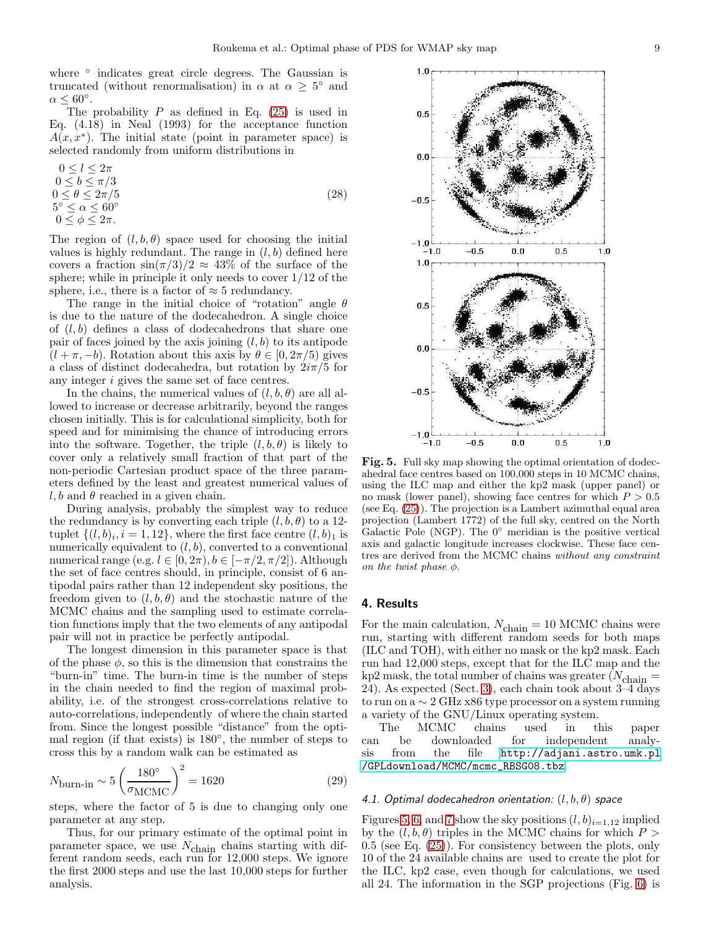where ° indicates great circle degrees. The Gaussian is truncated (without renormalisation) in  $\alpha$  at  $\alpha \geq 5^{\circ}$  and  $\alpha \leq 60^{\circ}.$ 

The probability  $P$  as defined in Eq. [\(25\)](#page-7-2) is used in Eq. (4.18) in Neal (1993) for the acceptance function  $A(x, x^*)$ . The initial state (point in parameter space) is selected randomly from uniform distributions in

 $0 \leq l \leq 2\pi$  $0 \le b \le \pi/3$  $0 \leq \theta \leq 2\pi/5$  $5^\circ \leq \alpha \leq 60^\circ$  $0 \leq \phi \leq 2\pi$ . (28)

The region of  $(l, b, \theta)$  space used for choosing the initial values is highly redundant. The range in  $(l, b)$  defined here covers a fraction  $\sin(\pi/3)/2 \approx 43\%$  of the surface of the sphere; while in principle it only needs to cover  $1/12$  of the sphere, i.e., there is a factor of  $\approx$  5 redundancy.

The range in the initial choice of "rotation" angle  $\theta$ is due to the nature of the dodecahedron. A single choice of  $(l, b)$  defines a class of dodecahedrons that share one pair of faces joined by the axis joining  $(l, b)$  to its antipode  $(l + \pi, -b)$ . Rotation about this axis by  $\theta \in [0, 2\pi/5)$  gives a class of distinct dodecahedra, but rotation by  $2i\pi/5$  for any integer i gives the same set of face centres.

In the chains, the numerical values of  $(l, b, \theta)$  are all allowed to increase or decrease arbitrarily, beyond the ranges chosen initially. This is for calculational simplicity, both for speed and for minimising the chance of introducing errors into the software. Together, the triple  $(l, b, \theta)$  is likely to cover only a relatively small fraction of that part of the non-periodic Cartesian product space of the three parameters defined by the least and greatest numerical values of  $l, b$  and  $\theta$  reached in a given chain.

During analysis, probably the simplest way to reduce the redundancy is by converting each triple  $(l, b, \theta)$  to a 12tuplet  $\{(l, b)_i, i = 1, 12\}$ , where the first face centre  $(l, b)_1$  is numerically equivalent to  $(l, b)$ , converted to a conventional numerical range (e.g.  $l \in [0, 2\pi), b \in [-\pi/2, \pi/2]$ ). Although the set of face centres should, in principle, consist of 6 antipodal pairs rather than 12 independent sky positions, the freedom given to  $(l, b, \theta)$  and the stochastic nature of the MCMC chains and the sampling used to estimate correlation functions imply that the two elements of any antipodal pair will not in practice be perfectly antipodal.

The longest dimension in this parameter space is that of the phase  $\phi$ , so this is the dimension that constrains the "burn-in" time. The burn-in time is the number of steps in the chain needed to find the region of maximal probability, i.e. of the strongest cross-correlations relative to auto-correlations, independently of where the chain started from. Since the longest possible "distance" from the optimal region (if that exists) is 180◦ , the number of steps to cross this by a random walk can be estimated as

$$
N_{\text{burn-in}} \sim 5 \left( \frac{180^{\circ}}{\sigma_{\text{MCMC}}} \right)^2 = 1620 \tag{29}
$$

steps, where the factor of 5 is due to changing only one parameter at any step.

Thus, for our primary estimate of the optimal point in parameter space, we use  $N_{\text{chain}}$  chains starting with different random seeds, each run for 12,000 steps. We ignore the first 2000 steps and use the last 10,000 steps for further analysis.

<span id="page-8-1"></span>

#### <span id="page-8-0"></span>4. Results

For the main calculation,  $N_{chain} = 10$  MCMC chains were run, starting with different random seeds for both maps (ILC and TOH), with either no mask or the kp2 mask. Each run had 12,000 steps, except that for the ILC map and the kp2 mask, the total number of chains was greater ( $N_{\rm chain} =$ 24). As expected (Sect. [3\)](#page-5-4), each chain took about 3–4 days to run on a ∼ 2 GHz x86 type processor on a system running a variety of the GNU/Linux operating system.

The MCMC chains used in this paper can be downloaded for independent analysis from the file <http://adjani.astro.umk.pl> [/GPLdownload/MCMC/mcmc\\_RBSG08.tbz](/GPLdownload/MCMC/mcmc_RBSG08.tbz).

#### <span id="page-8-2"></span>*4.1. Optimal dodecahedron orientation:* (l, b, θ) *space*

Figures [5,](#page-8-1) [6,](#page-9-0) and [7](#page-9-1) show the sky positions  $(l, b)_{i=1,12}$  implied by the  $(l, b, \theta)$  triples in the MCMC chains for which  $P >$  $0.5$  (see Eq.  $(25)$ ). For consistency between the plots, only 10 of the 24 available chains are used to create the plot for the ILC, kp2 case, even though for calculations, we used all 24. The information in the SGP projections (Fig. [6\)](#page-9-0) is

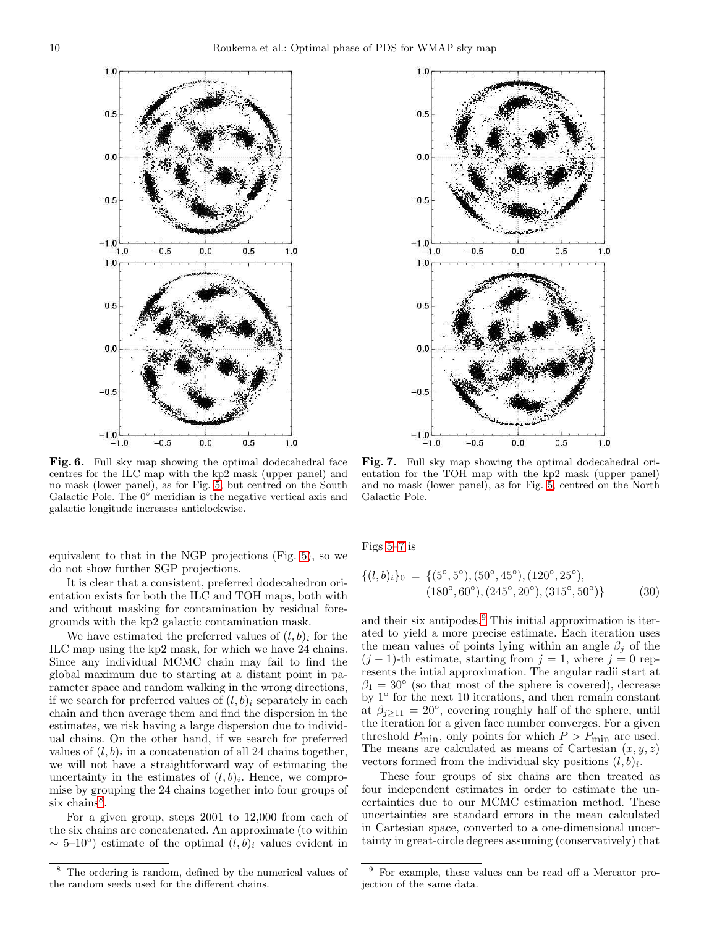

<span id="page-9-0"></span>Fig. 6. Full sky map showing the optimal dodecahedral face centres for the ILC map with the kp2 mask (upper panel) and no mask (lower panel), as for Fig. [5,](#page-8-1) but centred on the South Galactic Pole. The 0◦ meridian is the negative vertical axis and galactic longitude increases anticlockwise.

equivalent to that in the NGP projections (Fig. [5\)](#page-8-1), so we do not show further SGP projections.

It is clear that a consistent, preferred dodecahedron orientation exists for both the ILC and TOH maps, both with and without masking for contamination by residual foregrounds with the kp2 galactic contamination mask.

We have estimated the preferred values of  $(l, b)$  for the ILC map using the kp2 mask, for which we have 24 chains. Since any individual MCMC chain may fail to find the global maximum due to starting at a distant point in parameter space and random walking in the wrong directions, if we search for preferred values of  $(l, b)$ <sub>i</sub> separately in each chain and then average them and find the dispersion in the estimates, we risk having a large dispersion due to individual chains. On the other hand, if we search for preferred values of  $(l, b)_i$  in a concatenation of all 24 chains together, we will not have a straightforward way of estimating the uncertainty in the estimates of  $(l, b)_i$ . Hence, we compromise by grouping the 24 chains together into four groups of  $six chains<sup>8</sup>$  $six chains<sup>8</sup>$  $six chains<sup>8</sup>$ .

For a given group, steps 2001 to 12,000 from each of the six chains are concatenated. An approximate (to within  $\sim$  5–10<sup>°</sup>) estimate of the optimal  $(l, b)_i$  values evident in



<span id="page-9-1"></span>Fig. 7. Full sky map showing the optimal dodecahedral orientation for the TOH map with the kp2 mask (upper panel) and no mask (lower panel), as for Fig. [5,](#page-8-1) centred on the North Galactic Pole.

Figs [5](#page-8-1)[–7](#page-9-1) is

$$
\{(l, b)_i\}_0 = \{ (5^\circ, 5^\circ), (50^\circ, 45^\circ), (120^\circ, 25^\circ), (180^\circ, 60^\circ), (245^\circ, 20^\circ), (315^\circ, 50^\circ) \}
$$
(30)

and their six antipodes.<sup>[9](#page-9-3)</sup> This initial approximation is iterated to yield a more precise estimate. Each iteration uses the mean values of points lying within an angle  $\beta_i$  of the  $(j-1)$ -th estimate, starting from  $j = 1$ , where  $j = 0$  represents the intial approximation. The angular radii start at  $\beta_1 = 30^{\circ}$  (so that most of the sphere is covered), decrease by 1° for the next 10 iterations, and then remain constant at  $\beta_{j\geq 11} = 20^{\circ}$ , covering roughly half of the sphere, until the iteration for a given face number converges. For a given threshold  $P_{\text{min}}$ , only points for which  $P > P_{\text{min}}$  are used. The means are calculated as means of Cartesian  $(x, y, z)$ vectors formed from the individual sky positions  $(l, b)_i$ .

These four groups of six chains are then treated as four independent estimates in order to estimate the uncertainties due to our MCMC estimation method. These uncertainties are standard errors in the mean calculated in Cartesian space, converted to a one-dimensional uncertainty in great-circle degrees assuming (conservatively) that

<span id="page-9-2"></span>The ordering is random, defined by the numerical values of the random seeds used for the different chains.

<span id="page-9-3"></span><sup>9</sup> For example, these values can be read off a Mercator projection of the same data.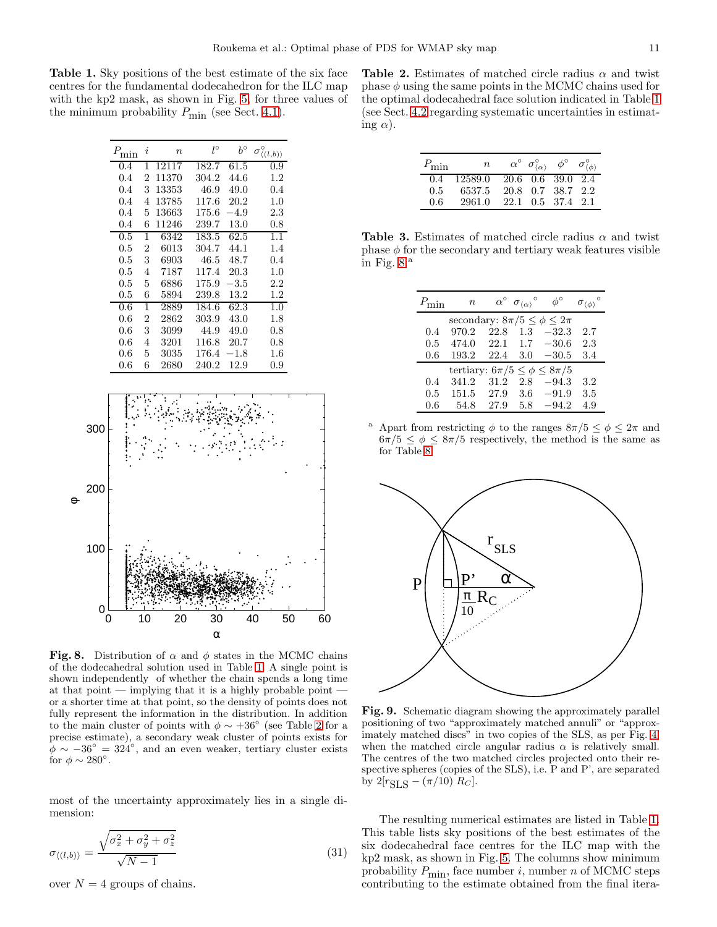<span id="page-10-0"></span>Table 1. Sky positions of the best estimate of the six face centres for the fundamental dodecahedron for the ILC map with the kp2 mask, as shown in Fig. [5,](#page-8-1) for three values of the minimum probability  $P_{\text{min}}$  (see Sect. [4.1\)](#page-8-2).

| min     | i | $\boldsymbol{n}$ | l°    | $h^{\circ}$       | $\langle (l,b) \rangle$ |
|---------|---|------------------|-------|-------------------|-------------------------|
| 0.4     | 1 | 12117            | 182.7 | 61.5              | 0.9                     |
| 0.4     | 2 | 11370            | 304.2 | 44.6              | $1.2\,$                 |
| 0.4     | 3 | 13353            | 46.9  | 49.0              | 0.4                     |
| 0.4     | 4 | 13785            | 117.6 | 20.2              | 1.0                     |
| $0.4\,$ | 5 | 13663            | 175.6 | $-4.9$            | 2.3                     |
| 0.4     | 6 | 11246            | 239.7 | 13.0              | 0.8                     |
| 0.5     | 1 | 6342             | 183.5 | $\overline{6}2.5$ | 1.1                     |
| 0.5     | 2 | 6013             | 304.7 | 44.1              | 1.4                     |
| $0.5\,$ | 3 | 6903             | 46.5  | 48.7              | 0.4                     |
| 0.5     | 4 | 7187             | 117.4 | $20.3\,$          | 1.0                     |
| $0.5\,$ | 5 | 6886             | 175.9 | $-3.5\,$          | 2.2                     |
| 0.5     | 6 | 5894             | 239.8 | 13.2              | 1.2                     |
| 0.6     | 1 | 2889             | 184.6 | 62.3              | 1.0                     |
| 0.6     | 2 | 2862             | 303.9 | 43.0              | 1.8                     |
| 0.6     | 3 | 3099             | 44.9  | 49.0              | 0.8                     |
| $0.6\,$ | 4 | 3201             | 116.8 | $20.7\,$          | 0.8                     |
| 0.6     | 5 | 3035             | 176.4 | $-1.8$            | $1.6\,$                 |
| $0.6\,$ | 6 | 2680             | 240.2 | 12.9              | 0.9                     |



<span id="page-10-2"></span>Fig. 8. Distribution of  $\alpha$  and  $\phi$  states in the MCMC chains of the dodecahedral solution used in Table [1.](#page-10-0) A single point is shown independently of whether the chain spends a long time at that point  $-$  implying that it is a highly probable point  $$ or a shorter time at that point, so the density of points does not fully represent the information in the distribution. In addition to the main cluster of points with  $\phi \sim +36^{\circ}$  (see Table [2](#page-10-1) for a precise estimate), a secondary weak cluster of points exists for  $\phi \sim -36^{\circ} = 324^{\circ}$ , and an even weaker, tertiary cluster exists for  $\phi \sim 280^\circ$ .

most of the uncertainty approximately lies in a single dimension:

<span id="page-10-3"></span>
$$
\sigma_{\langle (l,b)\rangle} = \frac{\sqrt{\sigma_x^2 + \sigma_y^2 + \sigma_z^2}}{\sqrt{N-1}} \tag{31}
$$

over  $N = 4$  groups of chains.

<span id="page-10-1"></span>Table 2. Estimates of matched circle radius  $\alpha$  and twist phase  $\phi$  using the same points in the MCMC chains used for the optimal dodecahedral face solution indicated in Table [1](#page-10-0) (see Sect. [4.2](#page-11-0) regarding systematic uncertainties in estimating  $\alpha$ ).

| $P_{\min}$    | $\overline{n}$            |                   | $\alpha^{\circ}$ $\sigma^{\circ}_{\langle\alpha\rangle}$ $\phi^{\circ}$ $\sigma^{\circ}_{\langle\phi\rangle}$ |  |
|---------------|---------------------------|-------------------|---------------------------------------------------------------------------------------------------------------|--|
| $0.4^{\circ}$ | 12589.0 20.6 0.6 39.0 2.4 |                   |                                                                                                               |  |
| $0.5^{\circ}$ | 6537.5                    |                   | 20.8 0.7 38.7 2.2                                                                                             |  |
| $0.6^-$       | 2961.0                    | 22.1 0.5 37.4 2.1 |                                                                                                               |  |

Table 3. Estimates of matched circle radius  $\alpha$  and twist phase  $\phi$  for the secondary and tertiary weak features visible in Fig.  $8.^a$ 

<span id="page-10-5"></span>

| $P_{\min}$ | $\boldsymbol{n}$                         |      | $\alpha^{\circ}$ $\sigma_{\langle\alpha\rangle}^{\circ}$ | $\phi^{\circ}$ | $\sigma_{\langle\phi\rangle}$ |
|------------|------------------------------------------|------|----------------------------------------------------------|----------------|-------------------------------|
|            | secondary: $8\pi/5 \leq \phi \leq 2\pi$  |      |                                                          |                |                               |
| 0.4        | 970.2                                    | 22.8 | 1.3                                                      | $-32.3$        | 2.7                           |
| 0.5        | 474.0                                    | 22.1 | 1.7                                                      | $-30.6$        | 2.3                           |
| 0.6        | 193.2                                    | 22.4 | 3.0                                                      | $-30.5$        | 3.4                           |
|            | tertiary: $6\pi/5 \leq \phi \leq 8\pi/5$ |      |                                                          |                |                               |
| 0.4        | 341.2                                    | 31.2 | 2.8                                                      | $-94.3$        | 3.2                           |
| 0.5        | 151.5                                    | 27.9 | 3.6                                                      | $-91.9$        | 3.5                           |
| 0.6        | 54.8                                     | 27.9 | 5.8                                                      | $-94.2$        | 4.9                           |

Apart from restricting  $\phi$  to the ranges  $8\pi/5 \leq \phi \leq 2\pi$  and  $6\pi/5 \leq \phi \leq 8\pi/5$  respectively, the method is the same as for Table [8.](#page-10-2)



<span id="page-10-4"></span>Fig. 9. Schematic diagram showing the approximately parallel positioning of two "approximately matched annuli" or "approximately matched discs" in two copies of the SLS, as per Fig. [4,](#page-5-3) when the matched circle angular radius  $\alpha$  is relatively small. The centres of the two matched circles projected onto their respective spheres (copies of the SLS), i.e. P and P', are separated by  $2[r_{\text{SLS}} - (\pi/10) R_C]$ .

The resulting numerical estimates are listed in Table [1.](#page-10-0) This table lists sky positions of the best estimates of the six dodecahedral face centres for the ILC map with the kp2 mask, as shown in Fig. [5.](#page-8-1) The columns show minimum probability  $P_{\text{min}}$ , face number i, number n of MCMC steps contributing to the estimate obtained from the final itera-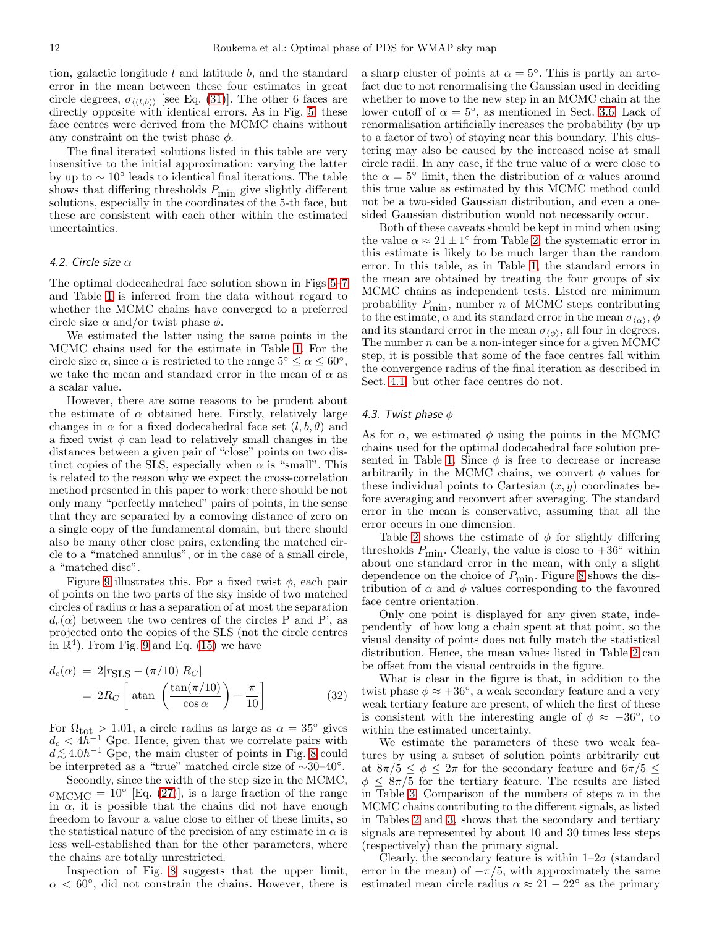tion, galactic longitude  $l$  and latitude  $b$ , and the standard error in the mean between these four estimates in great circle degrees,  $\sigma_{\langle (l,b) \rangle}$  [see Eq. [\(31\)](#page-10-3)]. The other 6 faces are directly opposite with identical errors. As in Fig. [5,](#page-8-1) these face centres were derived from the MCMC chains without any constraint on the twist phase  $\phi$ .

The final iterated solutions listed in this table are very insensitive to the initial approximation: varying the latter by up to  $\sim 10^{\circ}$  leads to identical final iterations. The table shows that differing thresholds  $P_{\text{min}}$  give slightly different solutions, especially in the coordinates of the 5-th face, but these are consistent with each other within the estimated uncertainties.

## <span id="page-11-0"></span>*4.2. Circle size* α

The optimal dodecahedral face solution shown in Figs [5–](#page-8-1)[7](#page-9-1) and Table [1](#page-10-0) is inferred from the data without regard to whether the MCMC chains have converged to a preferred circle size  $\alpha$  and/or twist phase  $\phi$ .

We estimated the latter using the same points in the MCMC chains used for the estimate in Table [1.](#page-10-0) For the circle size  $\alpha$ , since  $\alpha$  is restricted to the range  $5^{\circ} \leq \alpha \leq 60^{\circ}$ , we take the mean and standard error in the mean of  $\alpha$  as a scalar value.

However, there are some reasons to be prudent about the estimate of  $\alpha$  obtained here. Firstly, relatively large changes in  $\alpha$  for a fixed dodecahedral face set  $(l, b, \theta)$  and a fixed twist  $\phi$  can lead to relatively small changes in the distances between a given pair of "close" points on two distinct copies of the SLS, especially when  $\alpha$  is "small". This is related to the reason why we expect the cross-correlation method presented in this paper to work: there should be not only many "perfectly matched" pairs of points, in the sense that they are separated by a comoving distance of zero on a single copy of the fundamental domain, but there should also be many other close pairs, extending the matched circle to a "matched annulus", or in the case of a small circle, a "matched disc".

Figure [9](#page-10-4) illustrates this. For a fixed twist  $\phi$ , each pair of points on the two parts of the sky inside of two matched circles of radius  $\alpha$  has a separation of at most the separation  $d_c(\alpha)$  between the two centres of the circles P and P', as projected onto the copies of the SLS (not the circle centres in  $\mathbb{R}^4$ ). From Fig. [9](#page-10-4) and Eq. [\(15\)](#page-6-0) we have

$$
d_c(\alpha) = 2[r_{\text{SLS}} - (\pi/10) \, R_C]
$$
  
= 
$$
2R_C \left[ \text{atan} \left( \frac{\tan(\pi/10)}{\cos \alpha} \right) - \frac{\pi}{10} \right]
$$
 (32)

For  $\Omega_{\text{tot}} > 1.01$ , a circle radius as large as  $\alpha = 35^{\circ}$  gives  $d_c < 4h^{-1}$  Gpc. Hence, given that we correlate pairs with  $d \lesssim 4.0h^{-1}$  Gpc, the main cluster of points in Fig. [8](#page-10-2) could<br>be interpreted as a "true" matched eigele size of  $\sim 30-40^\circ$ be interpreted as a "true" matched circle size of <sup>∼</sup>30–40◦ .

Secondly, since the width of the step size in the MCMC,  $\sigma_{\text{MCMC}} = 10^{\circ}$  [Eq. [\(27\)](#page-7-3)], is a large fraction of the range in  $\alpha$ , it is possible that the chains did not have enough freedom to favour a value close to either of these limits, so the statistical nature of the precision of any estimate in  $\alpha$  is less well-established than for the other parameters, where the chains are totally unrestricted.

Inspection of Fig. [8](#page-10-2) suggests that the upper limit,  $\alpha < 60^{\circ}$ , did not constrain the chains. However, there is

a sharp cluster of points at  $\alpha = 5^{\circ}$ . This is partly an artefact due to not renormalising the Gaussian used in deciding whether to move to the new step in an MCMC chain at the lower cutoff of  $\alpha = 5^{\circ}$ , as mentioned in Sect. [3.6.](#page-7-0) Lack of renormalisation artificially increases the probability (by up to a factor of two) of staying near this boundary. This clustering may also be caused by the increased noise at small circle radii. In any case, if the true value of  $\alpha$  were close to the  $\alpha = 5^{\circ}$  limit, then the distribution of  $\alpha$  values around this true value as estimated by this MCMC method could not be a two-sided Gaussian distribution, and even a onesided Gaussian distribution would not necessarily occur.

Both of these caveats should be kept in mind when using the value  $\alpha \approx 21 \pm 1^{\circ}$  from Table [2:](#page-10-1) the systematic error in this estimate is likely to be much larger than the random error. In this table, as in Table [1,](#page-10-0) the standard errors in the mean are obtained by treating the four groups of six MCMC chains as independent tests. Listed are minimum probability  $P_{\text{min}}$ , number *n* of MCMC steps contributing to the estimate,  $\alpha$  and its standard error in the mean  $\sigma_{\langle\alpha\rangle}, \phi$ and its standard error in the mean  $\sigma_{\langle\phi\rangle}$ , all four in degrees. The number  $n$  can be a non-integer since for a given MCMC step, it is possible that some of the face centres fall within the convergence radius of the final iteration as described in Sect. [4.1,](#page-8-2) but other face centres do not.

## *4.3. Twist phase* φ

As for  $\alpha$ , we estimated  $\phi$  using the points in the MCMC chains used for the optimal dodecahedral face solution pre-sented in Table [1.](#page-10-0) Since  $\phi$  is free to decrease or increase arbitrarily in the MCMC chains, we convert  $\phi$  values for these individual points to Cartesian  $(x, y)$  coordinates before averaging and reconvert after averaging. The standard error in the mean is conservative, assuming that all the error occurs in one dimension.

Table [2](#page-10-1) shows the estimate of  $\phi$  for slightly differing thresholds  $P_{\text{min}}$ . Clearly, the value is close to  $+36°$  within about one standard error in the mean, with only a slight dependence on the choice of  $P_{\text{min}}$ . Figure [8](#page-10-2) shows the distribution of  $\alpha$  and  $\phi$  values corresponding to the favoured face centre orientation.

Only one point is displayed for any given state, independently of how long a chain spent at that point, so the visual density of points does not fully match the statistical distribution. Hence, the mean values listed in Table [2](#page-10-1) can be offset from the visual centroids in the figure.

What is clear in the figure is that, in addition to the twist phase  $\phi \approx +36^{\circ}$ , a weak secondary feature and a very weak tertiary feature are present, of which the first of these is consistent with the interesting angle of  $\phi \approx -36^{\circ}$ , to within the estimated uncertainty.

We estimate the parameters of these two weak features by using a subset of solution points arbitrarily cut at  $8\pi/5 \leq \phi \leq 2\pi$  for the secondary feature and  $6\pi/5 \leq$  $\phi \leq 8\pi/5$  for the tertiary feature. The results are listed in Table [3.](#page-10-5) Comparison of the numbers of steps  $n$  in the MCMC chains contributing to the different signals, as listed in Tables [2](#page-10-1) and [3,](#page-10-5) shows that the secondary and tertiary signals are represented by about 10 and 30 times less steps (respectively) than the primary signal.

Clearly, the secondary feature is within  $1-2\sigma$  (standard error in the mean) of  $-\pi/5$ , with approximately the same estimated mean circle radius  $\alpha \approx 21 - 22^{\circ}$  as the primary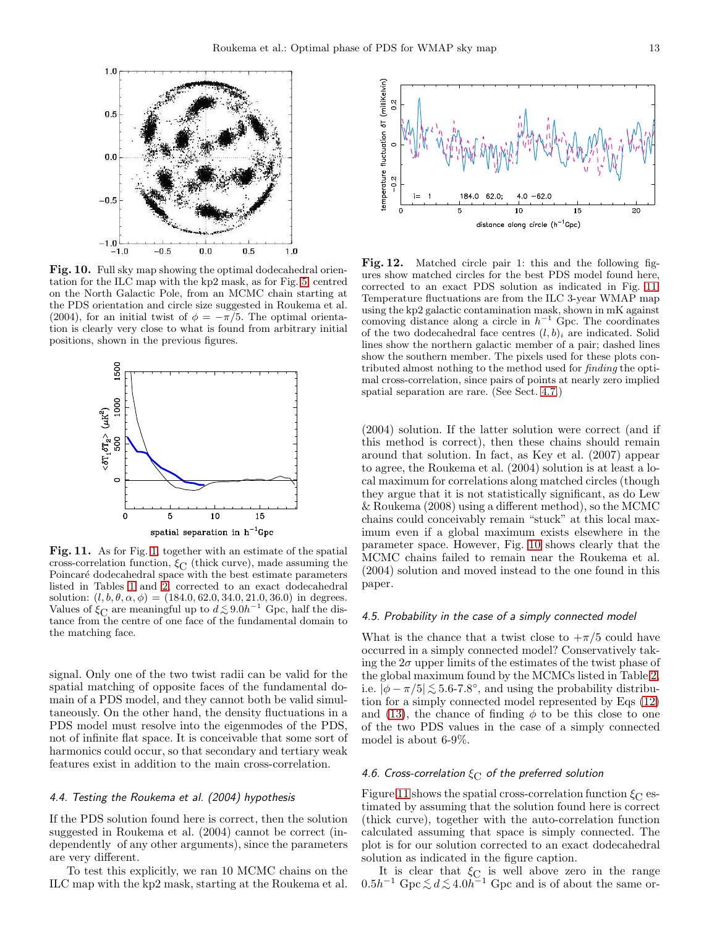

<span id="page-12-1"></span>Fig. 10. Full sky map showing the optimal dodecahedral orientation for the ILC map with the kp2 mask, as for Fig. [5,](#page-8-1) centred on the North Galactic Pole, from an MCMC chain starting at the PDS orientation and circle size suggested in Roukema et al. (2004), for an initial twist of  $\phi = -\pi/5$ . The optimal orientation is clearly very close to what is found from arbitrary initial positions, shown in the previous figures.



<span id="page-12-0"></span>Fig. 11. As for Fig. [1,](#page-1-0) together with an estimate of the spatial cross-correlation function,  $\xi_C$  (thick curve), made assuming the Poincaré dodecahedral space with the best estimate parameters listed in Tables [1](#page-10-0) and [2,](#page-10-1) corrected to an exact dodecahedral solution:  $(l, b, \theta, \alpha, \phi) = (184.0, 62.0, 34.0, 21.0, 36.0)$  in degrees. Values of  $\xi_{\text{C}}$  are meaningful up to  $d \lesssim 9.0h^{-1}$  Gpc, half the distance from the centre of one face of the fundamental domain to the matching face.

signal. Only one of the two twist radii can be valid for the spatial matching of opposite faces of the fundamental domain of a PDS model, and they cannot both be valid simultaneously. On the other hand, the density fluctuations in a PDS model must resolve into the eigenmodes of the PDS, not of infinite flat space. It is conceivable that some sort of harmonics could occur, so that secondary and tertiary weak features exist in addition to the main cross-correlation.

## <span id="page-12-3"></span>*4.4. Testing the Roukema et al. (2004) hypothesis*

If the PDS solution found here is correct, then the solution suggested in Roukema et al. (2004) cannot be correct (independently of any other arguments), since the parameters are very different.

To test this explicitly, we ran 10 MCMC chains on the ILC map with the kp2 mask, starting at the Roukema et al.



<span id="page-12-2"></span>Fig. 12. Matched circle pair 1: this and the following figures show matched circles for the best PDS model found here, corrected to an exact PDS solution as indicated in Fig. [11.](#page-12-0) Temperature fluctuations are from the ILC 3-year WMAP map using the kp2 galactic contamination mask, shown in mK against comoving distance along a circle in  $h^{-1}$  Gpc. The coordinates of the two dodecahedral face centres  $(l, b)_i$  are indicated. Solid lines show the northern galactic member of a pair; dashed lines show the southern member. The pixels used for these plots contributed almost nothing to the method used for finding the optimal cross-correlation, since pairs of points at nearly zero implied spatial separation are rare. (See Sect. [4.7.](#page-13-0))

(2004) solution. If the latter solution were correct (and if this method is correct), then these chains should remain around that solution. In fact, as Key et al. (2007) appear to agree, the Roukema et al. (2004) solution is at least a local maximum for correlations along matched circles (though they argue that it is not statistically significant, as do Lew & Roukema (2008) using a different method), so the MCMC chains could conceivably remain "stuck" at this local maximum even if a global maximum exists elsewhere in the parameter space. However, Fig. [10](#page-12-1) shows clearly that the MCMC chains failed to remain near the Roukema et al. (2004) solution and moved instead to the one found in this paper.

#### *4.5. Probability in the case of a simply connected model*

What is the chance that a twist close to  $+\pi/5$  could have occurred in a simply connected model? Conservatively taking the  $2\sigma$  upper limits of the estimates of the twist phase of the global maximum found by the MCMCs listed in Table [2,](#page-10-1) i.e.  $|\phi - \pi/5| \lesssim 5.6$ -7.8°, and using the probability distribu-<br>tion for a simply connected model represented by Eqs. (19) tion for a simply connected model represented by Eqs [\(12\)](#page-3-1) and [\(13\)](#page-3-2), the chance of finding  $\phi$  to be this close to one of the two PDS values in the case of a simply connected model is about 6-9%.

## *4.6. Cross-correlation* ξ<sub>C</sub> of the preferred solution

Figure [11](#page-12-0) shows the spatial cross-correlation function  $\xi_C$  estimated by assuming that the solution found here is correct (thick curve), together with the auto-correlation function calculated assuming that space is simply connected. The plot is for our solution corrected to an exact dodecahedral solution as indicated in the figure caption.

It is clear that  $\xi_{\text{C}}$  is well above zero in the range  $0.5h^{-1}$  Gpc  $\lesssim d \lesssim 4.0h^{-1}$  Gpc and is of about the same or-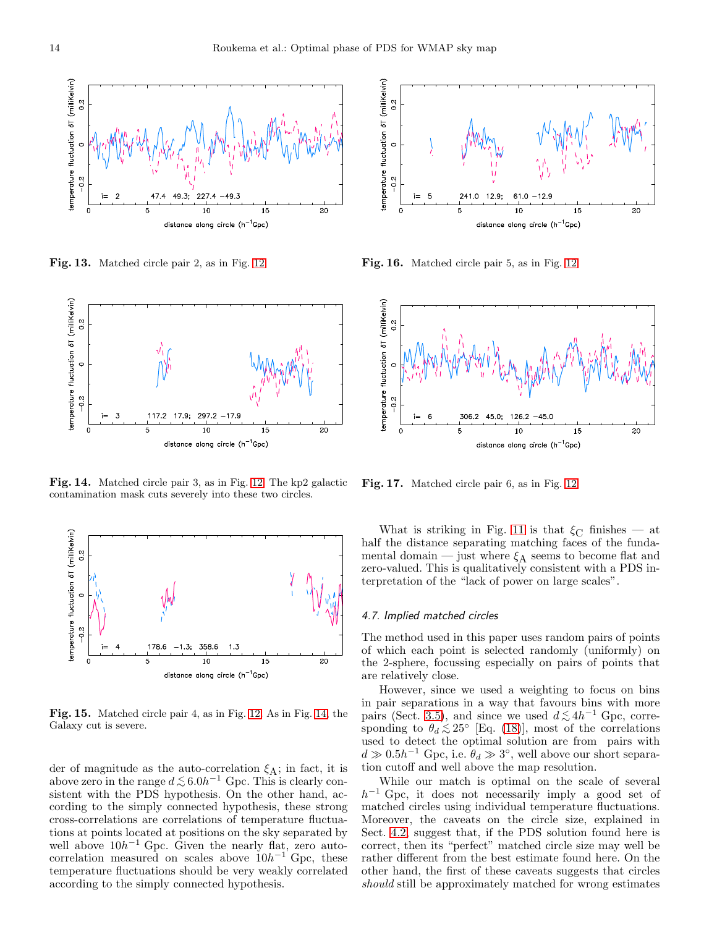

Fig. 13. Matched circle pair 2, as in Fig. [12.](#page-12-2)



<span id="page-13-1"></span>Fig. 14. Matched circle pair 3, as in Fig. [12.](#page-12-2) The kp2 galactic contamination mask cuts severely into these two circles.



Fig. 15. Matched circle pair 4, as in Fig. [12.](#page-12-2) As in Fig. [14,](#page-13-1) the Galaxy cut is severe.

der of magnitude as the auto-correlation  $\xi_A$ ; in fact, it is above zero in the range  $d \lesssim 6.0h^{-1}$  Gpc. This is clearly con-<br>sistent with the PDS hypothosis. On the other hand, as sistent with the PDS hypothesis. On the other hand, according to the simply connected hypothesis, these strong cross-correlations are correlations of temperature fluctuations at points located at positions on the sky separated by well above  $10h^{-1}$  Gpc. Given the nearly flat, zero autocorrelation measured on scales above  $10h^{-1}$  Gpc, these temperature fluctuations should be very weakly correlated according to the simply connected hypothesis.



Fig. 16. Matched circle pair 5, as in Fig. [12.](#page-12-2)



<span id="page-13-2"></span>Fig. 17. Matched circle pair 6, as in Fig. [12.](#page-12-2)

What is striking in Fig. [11](#page-12-0) is that  $\xi_{\text{C}}$  finishes — at half the distance separating matching faces of the fundamental domain — just where  $\xi_A$  seems to become flat and zero-valued. This is qualitatively consistent with a PDS interpretation of the "lack of power on large scales".

## <span id="page-13-0"></span>*4.7. Implied matched circles*

The method used in this paper uses random pairs of points of which each point is selected randomly (uniformly) on the 2-sphere, focussing especially on pairs of points that are relatively close.

However, since we used a weighting to focus on bins in pair separations in a way that favours bins with more pairs (Sect. [3.5\)](#page-7-1), and since we used  $d \lesssim 4h^{-1}$  Gpc, corre-<br>sponding to  $\theta \lesssim 25^\circ$  [Eq. (18)], most of the correlations sponding to  $\theta_d \lesssim 25^{\circ}$  [Eq. [\(18\)](#page-6-1)], most of the correlations<br>weed to detect the optimal solution are from pairs with used to detect the optimal solution are from pairs with  $d \gg 0.5h^{-1}$  Gpc, i.e.  $\theta_d \gg 3^{\circ}$ , well above our short separation cutoff and well above the map resolution.

While our match is optimal on the scale of several  $h^{-1}$  Gpc, it does not necessarily imply a good set of matched circles using individual temperature fluctuations. Moreover, the caveats on the circle size, explained in Sect. [4.2,](#page-11-0) suggest that, if the PDS solution found here is correct, then its "perfect" matched circle size may well be rather different from the best estimate found here. On the other hand, the first of these caveats suggests that circles should still be approximately matched for wrong estimates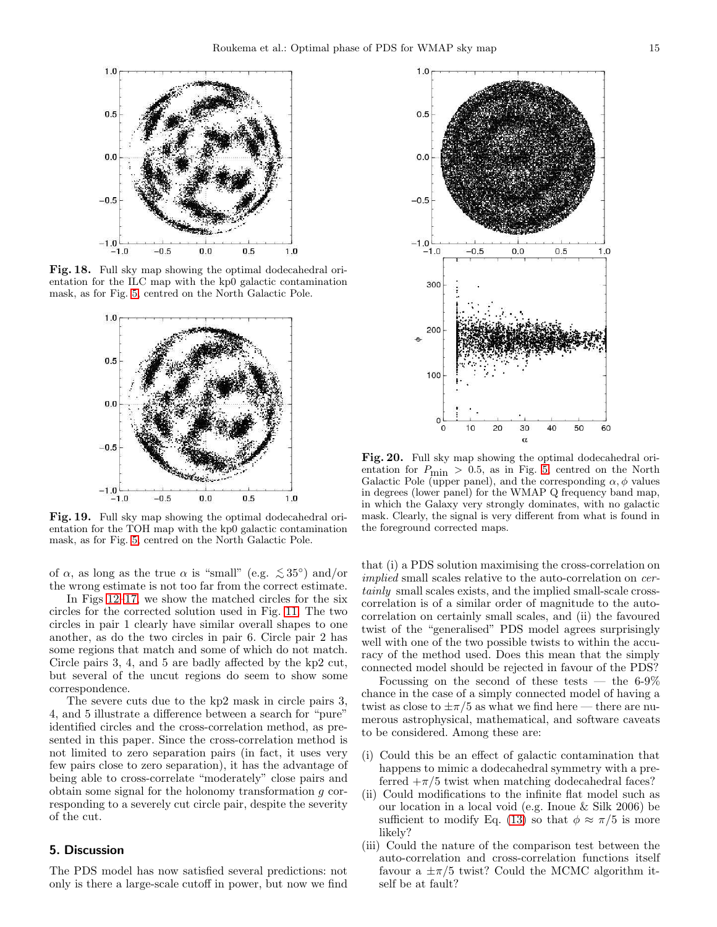

Fig. 18. Full sky map showing the optimal dodecahedral orientation for the ILC map with the kp0 galactic contamination mask, as for Fig. [5,](#page-8-1) centred on the North Galactic Pole.

<span id="page-14-1"></span>

<span id="page-14-2"></span>Fig. 19. Full sky map showing the optimal dodecahedral orientation for the TOH map with the kp0 galactic contamination mask, as for Fig. [5,](#page-8-1) centred on the North Galactic Pole.

of  $\alpha$ , as long as the true  $\alpha$  is "small" (e.g.  $\lesssim 35^{\circ}$ ) and/or<br>the wrong estimate is not too for from the correct estimate the wrong estimate is not too far from the correct estimate.

In Figs [12–](#page-12-2)[17,](#page-13-2) we show the matched circles for the six circles for the corrected solution used in Fig. [11.](#page-12-0) The two circles in pair 1 clearly have similar overall shapes to one another, as do the two circles in pair 6. Circle pair 2 has some regions that match and some of which do not match. Circle pairs 3, 4, and 5 are badly affected by the kp2 cut, but several of the uncut regions do seem to show some correspondence.

The severe cuts due to the kp2 mask in circle pairs 3, 4, and 5 illustrate a difference between a search for "pure" identified circles and the cross-correlation method, as presented in this paper. Since the cross-correlation method is not limited to zero separation pairs (in fact, it uses very few pairs close to zero separation), it has the advantage of being able to cross-correlate "moderately" close pairs and obtain some signal for the holonomy transformation g corresponding to a severely cut circle pair, despite the severity of the cut.

# <span id="page-14-0"></span>5. Discussion

The PDS model has now satisfied several predictions: not only is there a large-scale cutoff in power, but now we find



<span id="page-14-3"></span>Fig. 20. Full sky map showing the optimal dodecahedral orientation for  $P_{\text{min}} > 0.5$ , as in Fig. [5,](#page-8-1) centred on the North Galactic Pole (upper panel), and the corresponding  $\alpha$ ,  $\phi$  values in degrees (lower panel) for the WMAP Q frequency band map, in which the Galaxy very strongly dominates, with no galactic mask. Clearly, the signal is very different from what is found in the foreground corrected maps.

that (i) a PDS solution maximising the cross-correlation on implied small scales relative to the auto-correlation on certainly small scales exists, and the implied small-scale crosscorrelation is of a similar order of magnitude to the autocorrelation on certainly small scales, and (ii) the favoured twist of the "generalised" PDS model agrees surprisingly well with one of the two possible twists to within the accuracy of the method used. Does this mean that the simply connected model should be rejected in favour of the PDS?

Focussing on the second of these tests  $-$  the 6-9% chance in the case of a simply connected model of having a twist as close to  $\pm \pi/5$  as what we find here — there are numerous astrophysical, mathematical, and software caveats to be considered. Among these are:

- (i) Could this be an effect of galactic contamination that happens to mimic a dodecahedral symmetry with a preferred  $+\pi/5$  twist when matching dodecahedral faces?
- (ii) Could modifications to the infinite flat model such as our location in a local void (e.g. Inoue & Silk 2006) be sufficient to modify Eq. [\(13\)](#page-3-2) so that  $\phi \approx \pi/5$  is more likely?
- (iii) Could the nature of the comparison test between the auto-correlation and cross-correlation functions itself favour a  $\pm \pi/5$  twist? Could the MCMC algorithm itself be at fault?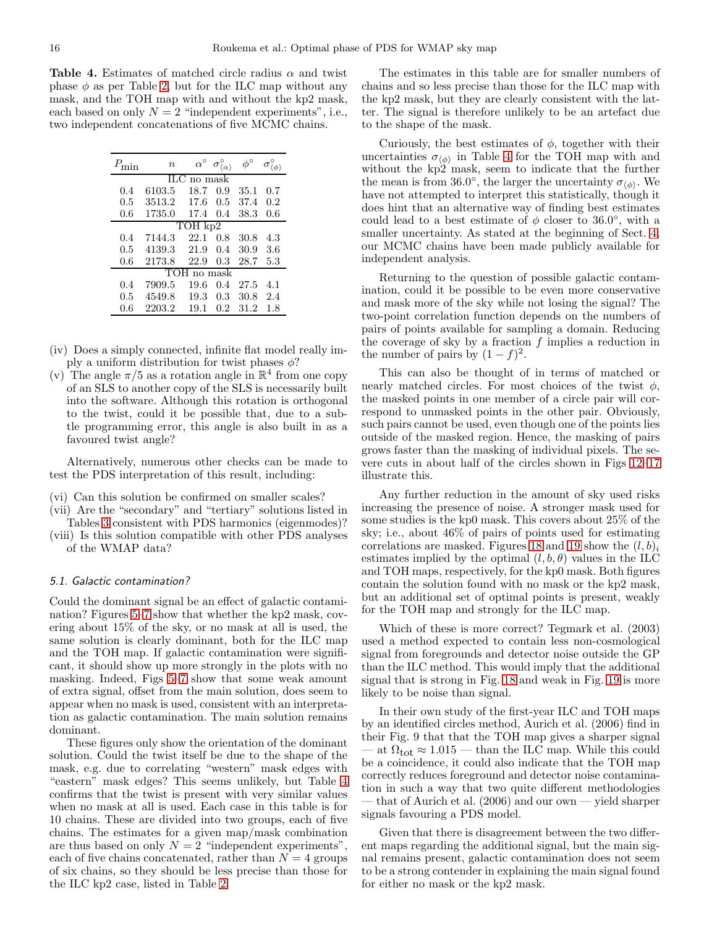<span id="page-15-0"></span>Table 4. Estimates of matched circle radius  $\alpha$  and twist phase  $\phi$  as per Table [2,](#page-10-1) but for the ILC map without any mask, and the TOH map with and without the kp2 mask, each based on only  $N = 2$  "independent experiments", i.e., two independent concatenations of five MCMC chains.

|               | $\it n$ | $\alpha^{\circ}$ | $\sigma^\circ_{\langle\alpha\rangle}$ |      |     |  |
|---------------|---------|------------------|---------------------------------------|------|-----|--|
| $ILC$ no mask |         |                  |                                       |      |     |  |
| 0.4           | 6103.5  | 18.7             | 0.9                                   | 35.1 | 0.7 |  |
| 0.5           | 3513.2  | 17.6             | 0.5                                   | 37.4 | 0.2 |  |
| 0.6           | 1735.0  | 17.4             | 0.4                                   | 38.3 | 0.6 |  |
| TOH kp2       |         |                  |                                       |      |     |  |
| 0.4           | 7144.3  | 22.1             | 0.8                                   | 30.8 | 4.3 |  |
| 0.5           | 4139.3  | 21.9             | 0.4                                   | 30.9 | 3.6 |  |
| $0.6\,$       | 2173.8  | 22.9             | 0.3                                   | 28.7 | 5.3 |  |
| TOH no mask   |         |                  |                                       |      |     |  |
| 0.4           | 7909.5  | 19.6             | 0.4                                   | 27.5 | 4.1 |  |
| 0.5           | 4549.8  | 19.3             | 0.3                                   | 30.8 | 2.4 |  |
| 0.6           | 2203.2  | 19.1             | $0.2\,$                               | 31.2 | 1.8 |  |

- (iv) Does a simply connected, infinite flat model really imply a uniform distribution for twist phases  $\phi$ ?
- (v) The angle  $\pi/5$  as a rotation angle in  $\mathbb{R}^4$  from one copy of an SLS to another copy of the SLS is necessarily built into the software. Although this rotation is orthogonal to the twist, could it be possible that, due to a subtle programming error, this angle is also built in as a favoured twist angle?

Alternatively, numerous other checks can be made to test the PDS interpretation of this result, including:

- (vi) Can this solution be confirmed on smaller scales?
- (vii) Are the "secondary" and "tertiary" solutions listed in Tables [3](#page-10-5) consistent with PDS harmonics (eigenmodes)?
- (viii) Is this solution compatible with other PDS analyses of the WMAP data?

## *5.1. Galactic contamination?*

Could the dominant signal be an effect of galactic contamination? Figures [5–](#page-8-1)[7](#page-9-1) show that whether the kp2 mask, covering about 15% of the sky, or no mask at all is used, the same solution is clearly dominant, both for the ILC map and the TOH map. If galactic contamination were significant, it should show up more strongly in the plots with no masking. Indeed, Figs [5–](#page-8-1)[7](#page-9-1) show that some weak amount of extra signal, offset from the main solution, does seem to appear when no mask is used, consistent with an interpretation as galactic contamination. The main solution remains dominant.

These figures only show the orientation of the dominant solution. Could the twist itself be due to the shape of the mask, e.g. due to correlating "western" mask edges with "eastern" mask edges? This seems unlikely, but Table [4](#page-15-0) confirms that the twist is present with very similar values when no mask at all is used. Each case in this table is for 10 chains. These are divided into two groups, each of five chains. The estimates for a given map/mask combination are thus based on only  $N = 2$  "independent experiments", each of five chains concatenated, rather than  $N = 4$  groups of six chains, so they should be less precise than those for the ILC kp2 case, listed in Table [2.](#page-10-1)

The estimates in this table are for smaller numbers of chains and so less precise than those for the ILC map with the kp2 mask, but they are clearly consistent with the latter. The signal is therefore unlikely to be an artefact due to the shape of the mask.

Curiously, the best estimates of  $\phi$ , together with their uncertainties  $\sigma_{\langle \phi \rangle}$  in Table [4](#page-15-0) for the TOH map with and without the kp2 mask, seem to indicate that the further the mean is from 36.0°, the larger the uncertainty  $\sigma_{\langle \phi \rangle}$ . We have not attempted to interpret this statistically, though it does hint that an alternative way of finding best estimates could lead to a best estimate of  $\phi$  closer to 36.0°, with a smaller uncertainty. As stated at the beginning of Sect. [4,](#page-8-0) our MCMC chains have been made publicly available for independent analysis.

Returning to the question of possible galactic contamination, could it be possible to be even more conservative and mask more of the sky while not losing the signal? The two-point correlation function depends on the numbers of pairs of points available for sampling a domain. Reducing the coverage of sky by a fraction  $f$  implies a reduction in the number of pairs by  $(1-f)^2$ .

This can also be thought of in terms of matched or nearly matched circles. For most choices of the twist  $\phi$ , the masked points in one member of a circle pair will correspond to unmasked points in the other pair. Obviously, such pairs cannot be used, even though one of the points lies outside of the masked region. Hence, the masking of pairs grows faster than the masking of individual pixels. The severe cuts in about half of the circles shown in Figs [12–](#page-12-2)[17](#page-13-2) illustrate this.

Any further reduction in the amount of sky used risks increasing the presence of noise. A stronger mask used for some studies is the kp0 mask. This covers about 25% of the sky; i.e., about 46% of pairs of points used for estimating correlations are masked. Figures [18](#page-14-1) and [19](#page-14-2) show the  $(l, b)_i$ estimates implied by the optimal  $(l, b, \theta)$  values in the ILC and TOH maps, respectively, for the kp0 mask. Both figures contain the solution found with no mask or the kp2 mask, but an additional set of optimal points is present, weakly for the TOH map and strongly for the ILC map.

Which of these is more correct? Tegmark et al. (2003) used a method expected to contain less non-cosmological signal from foregrounds and detector noise outside the GP than the ILC method. This would imply that the additional signal that is strong in Fig. [18](#page-14-1) and weak in Fig. [19](#page-14-2) is more likely to be noise than signal.

In their own study of the first-year ILC and TOH maps by an identified circles method, Aurich et al. (2006) find in their Fig. 9 that that the TOH map gives a sharper signal at  $\Omega_{\text{tot}} \approx 1.015$  — than the ILC map. While this could be a coincidence, it could also indicate that the TOH map correctly reduces foreground and detector noise contamination in such a way that two quite different methodologies — that of Aurich et al. (2006) and our own — yield sharper signals favouring a PDS model.

Given that there is disagreement between the two different maps regarding the additional signal, but the main signal remains present, galactic contamination does not seem to be a strong contender in explaining the main signal found for either no mask or the kp2 mask.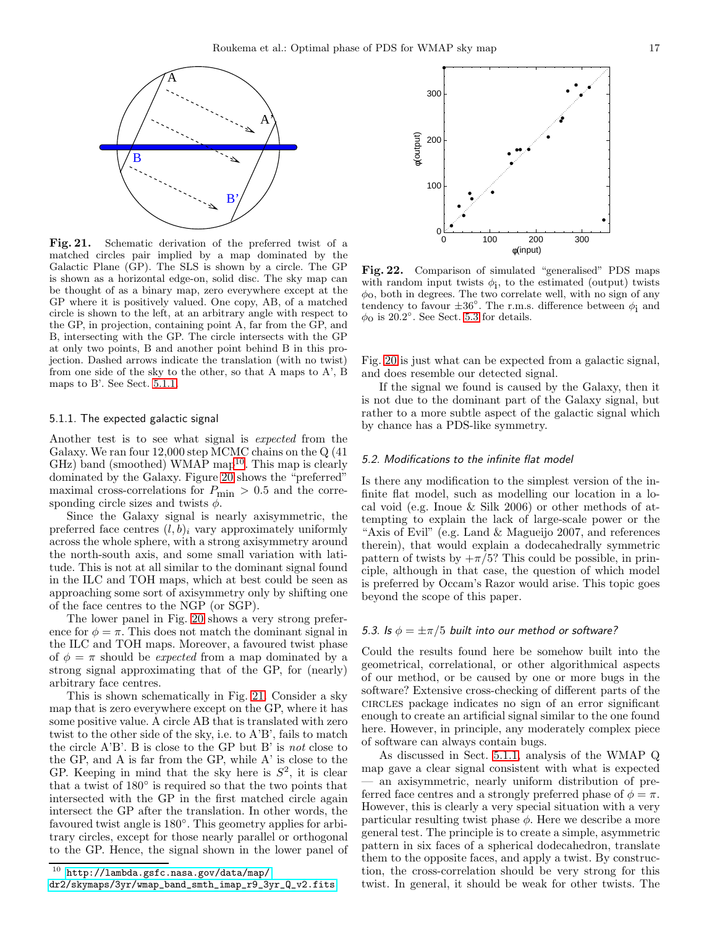

<span id="page-16-2"></span>Fig. 21. Schematic derivation of the preferred twist of a matched circles pair implied by a map dominated by the Galactic Plane (GP). The SLS is shown by a circle. The GP is shown as a horizontal edge-on, solid disc. The sky map can be thought of as a binary map, zero everywhere except at the GP where it is positively valued. One copy, AB, of a matched circle is shown to the left, at an arbitrary angle with respect to the GP, in projection, containing point A, far from the GP, and B, intersecting with the GP. The circle intersects with the GP at only two points, B and another point behind B in this projection. Dashed arrows indicate the translation (with no twist) from one side of the sky to the other, so that A maps to  $A'$ , B maps to B'. See Sect. [5.1.1.](#page-16-0)

#### <span id="page-16-0"></span>5.1.1. The expected galactic signal

Another test is to see what signal is expected from the Galaxy. We ran four 12,000 step MCMC chains on the Q (41  $GHz$ ) band (smoothed) WMAP map<sup>[10](#page-16-1)</sup>. This map is clearly dominated by the Galaxy. Figure [20](#page-14-3) shows the "preferred" maximal cross-correlations for  $P_{\rm min}$   $>$  0.5 and the corresponding circle sizes and twists  $\phi$ .

Since the Galaxy signal is nearly axisymmetric, the preferred face centres  $(l, b)$ <sub>i</sub> vary approximately uniformly across the whole sphere, with a strong axisymmetry around the north-south axis, and some small variation with latitude. This is not at all similar to the dominant signal found in the ILC and TOH maps, which at best could be seen as approaching some sort of axisymmetry only by shifting one of the face centres to the NGP (or SGP).

The lower panel in Fig. [20](#page-14-3) shows a very strong preference for  $\phi = \pi$ . This does not match the dominant signal in the ILC and TOH maps. Moreover, a favoured twist phase of  $\phi = \pi$  should be *expected* from a map dominated by a strong signal approximating that of the GP, for (nearly) arbitrary face centres.

This is shown schematically in Fig. [21.](#page-16-2) Consider a sky map that is zero everywhere except on the GP, where it has some positive value. A circle AB that is translated with zero twist to the other side of the sky, i.e. to A'B', fails to match the circle A'B'. B is close to the GP but B' is not close to the GP, and A is far from the GP, while A' is close to the GP. Keeping in mind that the sky here is  $S^2$ , it is clear that a twist of 180◦ is required so that the two points that intersected with the GP in the first matched circle again intersect the GP after the translation. In other words, the favoured twist angle is  $180^\circ$ . This geometry applies for arbitrary circles, except for those nearly parallel or orthogonal to the GP. Hence, the signal shown in the lower panel of



<span id="page-16-1"></span>[dr2/skymaps/3yr/wmap\\_band\\_smth\\_imap\\_r9\\_3yr\\_Q\\_v2.fits](dr2/skymaps/3yr/wmap_band_smth_imap_r9_3yr_Q_v2.fits)



<span id="page-16-4"></span>Fig. 22. Comparison of simulated "generalised" PDS maps with random input twists  $\phi_i$ , to the estimated (output) twists  $\phi$ <sub>0</sub>, both in degrees. The two correlate well, with no sign of any tendency to favour  $\pm 36^{\circ}$ . The r.m.s. difference between  $\phi_1$  and  $\phi$ <sup>o</sup> is 20.2°. See Sect. [5.3](#page-16-3) for details.

Fig. [20](#page-14-3) is just what can be expected from a galactic signal, and does resemble our detected signal.

If the signal we found is caused by the Galaxy, then it is not due to the dominant part of the Galaxy signal, but rather to a more subtle aspect of the galactic signal which by chance has a PDS-like symmetry.

#### *5.2. Modifications to the infinite flat model*

Is there any modification to the simplest version of the infinite flat model, such as modelling our location in a local void (e.g. Inoue & Silk 2006) or other methods of attempting to explain the lack of large-scale power or the "Axis of Evil" (e.g. Land & Magueijo 2007, and references therein), that would explain a dodecahedrally symmetric pattern of twists by  $+\pi/5$ ? This could be possible, in principle, although in that case, the question of which model is preferred by Occam's Razor would arise. This topic goes beyond the scope of this paper.

#### <span id="page-16-3"></span>*5.3. Is*  $\phi = \pm \pi/5$  *built into our method or software?*

Could the results found here be somehow built into the geometrical, correlational, or other algorithmical aspects of our method, or be caused by one or more bugs in the software? Extensive cross-checking of different parts of the circles package indicates no sign of an error significant enough to create an artificial signal similar to the one found here. However, in principle, any moderately complex piece of software can always contain bugs.

As discussed in Sect. [5.1.1,](#page-16-0) analysis of the WMAP Q map gave a clear signal consistent with what is expected — an axisymmetric, nearly uniform distribution of preferred face centres and a strongly preferred phase of  $\phi = \pi$ . However, this is clearly a very special situation with a very particular resulting twist phase  $\phi$ . Here we describe a more general test. The principle is to create a simple, asymmetric pattern in six faces of a spherical dodecahedron, translate them to the opposite faces, and apply a twist. By construction, the cross-correlation should be very strong for this twist. In general, it should be weak for other twists. The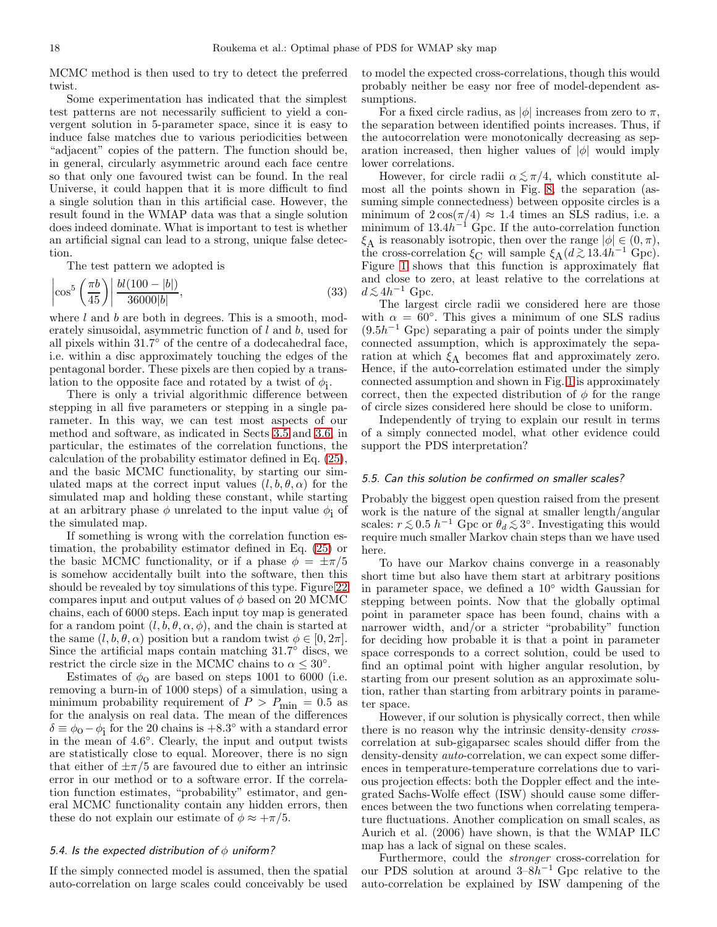MCMC method is then used to try to detect the preferred twist.

Some experimentation has indicated that the simplest test patterns are not necessarily sufficient to yield a convergent solution in 5-parameter space, since it is easy to induce false matches due to various periodicities between "adjacent" copies of the pattern. The function should be, in general, circularly asymmetric around each face centre so that only one favoured twist can be found. In the real Universe, it could happen that it is more difficult to find a single solution than in this artificial case. However, the result found in the WMAP data was that a single solution does indeed dominate. What is important to test is whether an artificial signal can lead to a strong, unique false detection.

The test pattern we adopted is

$$
\left| \cos^5 \left( \frac{\pi b}{45} \right) \right| \frac{bl(100 - |b|)}{36000|b|},\tag{33}
$$

where  $l$  and  $b$  are both in degrees. This is a smooth, moderately sinusoidal, asymmetric function of l and b, used for all pixels within 31.7◦ of the centre of a dodecahedral face, i.e. within a disc approximately touching the edges of the pentagonal border. These pixels are then copied by a translation to the opposite face and rotated by a twist of  $\phi_i$ .

There is only a trivial algorithmic difference between stepping in all five parameters or stepping in a single parameter. In this way, we can test most aspects of our method and software, as indicated in Sects [3.5](#page-7-1) and [3.6,](#page-7-0) in particular, the estimates of the correlation functions, the calculation of the probability estimator defined in Eq. [\(25\)](#page-7-2), and the basic MCMC functionality, by starting our simulated maps at the correct input values  $(l, b, \theta, \alpha)$  for the simulated map and holding these constant, while starting at an arbitrary phase  $\phi$  unrelated to the input value  $\phi_i$  of the simulated map.

If something is wrong with the correlation function estimation, the probability estimator defined in Eq. [\(25\)](#page-7-2) or the basic MCMC functionality, or if a phase  $\phi = \pm \pi/5$ is somehow accidentally built into the software, then this should be revealed by toy simulations of this type. Figure [22](#page-16-4) compares input and output values of  $\phi$  based on 20 MCMC chains, each of 6000 steps. Each input toy map is generated for a random point  $(l, b, \theta, \alpha, \phi)$ , and the chain is started at the same  $(l, b, \theta, \alpha)$  position but a random twist  $\phi \in [0, 2\pi]$ . Since the artificial maps contain matching  $31.7°$  discs, we restrict the circle size in the MCMC chains to  $\alpha \leq 30^{\circ}$ .

Estimates of  $\phi_0$  are based on steps 1001 to 6000 (i.e. removing a burn-in of 1000 steps) of a simulation, using a minimum probability requirement of  $P > P_{\text{min}} = 0.5$  as for the analysis on real data. The mean of the differences  $\delta \equiv \phi_0 - \phi_1$  for the 20 chains is +8.3° with a standard error in the mean of 4.6 ◦ . Clearly, the input and output twists are statistically close to equal. Moreover, there is no sign that either of  $\pm \pi/5$  are favoured due to either an intrinsic error in our method or to a software error. If the correlation function estimates, "probability" estimator, and general MCMC functionality contain any hidden errors, then these do not explain our estimate of  $\phi \approx +\pi/5$ .

#### *5.4. Is the expected distribution of* φ *uniform?*

If the simply connected model is assumed, then the spatial auto-correlation on large scales could conceivably be used to model the expected cross-correlations, though this would probably neither be easy nor free of model-dependent assumptions.

For a fixed circle radius, as  $|\phi|$  increases from zero to  $\pi$ , the separation between identified points increases. Thus, if the autocorrelation were monotonically decreasing as separation increased, then higher values of  $|\phi|$  would imply lower correlations.

However, for circle radii  $\alpha \lesssim \pi/4$ , which constitute almost all the points shown in Fig. [8,](#page-10-2) the separation (assuming simple connectedness) between opposite circles is a minimum of  $2\cos(\pi/4) \approx 1.4$  times an SLS radius, i.e. a minimum of  $13.4h^{-1}$  Gpc. If the auto-correlation function  $\xi_A$  is reasonably isotropic, then over the range  $|\phi| \in (0, \pi)$ , the cross-correlation  $\xi_C$  will sample  $\xi_A(d\gtrsim 13.4h^{-1}$  Gpc).<br>Figure 1, shows that this function is approximately flat Figure [1](#page-1-0) shows that this function is approximately flat and close to zero, at least relative to the correlations at  $d \lesssim 4h^{-1}$  Gpc.<br>The larges

The largest circle radii we considered here are those with  $\alpha = 60^{\circ}$ . This gives a minimum of one SLS radius  $(9.5h^{-1}$  Gpc) separating a pair of points under the simply connected assumption, which is approximately the separation at which  $\xi_A$  becomes flat and approximately zero. Hence, if the auto-correlation estimated under the simply connected assumption and shown in Fig. [1](#page-1-0) is approximately correct, then the expected distribution of  $\phi$  for the range of circle sizes considered here should be close to uniform.

Independently of trying to explain our result in terms of a simply connected model, what other evidence could support the PDS interpretation?

#### *5.5. Can this solution be confirmed on smaller scales?*

Probably the biggest open question raised from the present work is the nature of the signal at smaller length/angular scales:  $r \lesssim 0.5 h^{-1}$  Gpc or  $\theta_d \lesssim 3^\circ$ . Investigating this would require much smaller Markov chain steps than we have used here.

To have our Markov chains converge in a reasonably short time but also have them start at arbitrary positions in parameter space, we defined a 10◦ width Gaussian for stepping between points. Now that the globally optimal point in parameter space has been found, chains with a narrower width, and/or a stricter "probability" function for deciding how probable it is that a point in parameter space corresponds to a correct solution, could be used to find an optimal point with higher angular resolution, by starting from our present solution as an approximate solution, rather than starting from arbitrary points in parameter space.

However, if our solution is physically correct, then while there is no reason why the intrinsic density-density crosscorrelation at sub-gigaparsec scales should differ from the density-density auto-correlation, we can expect some differences in temperature-temperature correlations due to various projection effects: both the Doppler effect and the integrated Sachs-Wolfe effect (ISW) should cause some differences between the two functions when correlating temperature fluctuations. Another complication on small scales, as Aurich et al. (2006) have shown, is that the WMAP ILC map has a lack of signal on these scales.

Furthermore, could the stronger cross-correlation for our PDS solution at around  $3-8h^{-1}$  Gpc relative to the auto-correlation be explained by ISW dampening of the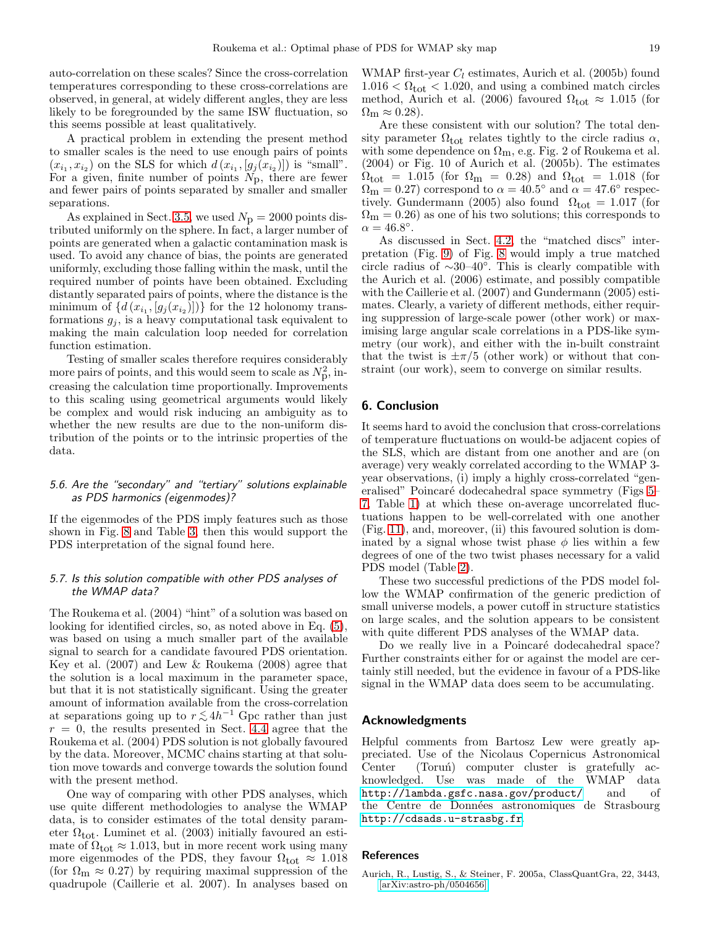auto-correlation on these scales? Since the cross-correlation temperatures corresponding to these cross-correlations are observed, in general, at widely different angles, they are less likely to be foregrounded by the same ISW fluctuation, so this seems possible at least qualitatively.

A practical problem in extending the present method to smaller scales is the need to use enough pairs of points  $(x_{i_1}, x_{i_2})$  on the SLS for which  $d(x_{i_1}, [g_j(x_{i_2})])$  is "small". For a given, finite number of points  $N_p$ , there are fewer and fewer pairs of points separated by smaller and smaller separations.

As explained in Sect. [3.5,](#page-7-1) we used  $N_p = 2000$  points distributed uniformly on the sphere. In fact, a larger number of points are generated when a galactic contamination mask is used. To avoid any chance of bias, the points are generated uniformly, excluding those falling within the mask, until the required number of points have been obtained. Excluding distantly separated pairs of points, where the distance is the minimum of  $\{d(x_{i_1}, [g_j(x_{i_2})])\}$  for the 12 holonomy transformations  $g_i$ , is a heavy computational task equivalent to making the main calculation loop needed for correlation function estimation.

Testing of smaller scales therefore requires considerably more pairs of points, and this would seem to scale as  $N_{\rm p}^2$ , increasing the calculation time proportionally. Improvements to this scaling using geometrical arguments would likely be complex and would risk inducing an ambiguity as to whether the new results are due to the non-uniform distribution of the points or to the intrinsic properties of the data.

## *5.6. Are the "secondary" and "tertiary" solutions explainable as PDS harmonics (eigenmodes)?*

If the eigenmodes of the PDS imply features such as those shown in Fig. [8](#page-10-2) and Table [3,](#page-10-5) then this would support the PDS interpretation of the signal found here.

## *5.7. Is this solution compatible with other PDS analyses of the WMAP data?*

The Roukema et al. (2004) "hint" of a solution was based on looking for identified circles, so, as noted above in Eq. [\(5\)](#page-2-4), was based on using a much smaller part of the available signal to search for a candidate favoured PDS orientation. Key et al. (2007) and Lew & Roukema (2008) agree that the solution is a local maximum in the parameter space, but that it is not statistically significant. Using the greater amount of information available from the cross-correlation at separations going up to  $r \lesssim 4h^{-1}$  Gpc rather than just  $r = 0$ , the requiremented in Sect 4.4 agrees that the  $r = 0$ , the results presented in Sect. [4.4](#page-12-3) agree that the Roukema et al. (2004) PDS solution is not globally favoured by the data. Moreover, MCMC chains starting at that solution move towards and converge towards the solution found with the present method.

One way of comparing with other PDS analyses, which use quite different methodologies to analyse the WMAP data, is to consider estimates of the total density parameter  $\Omega_{\text{tot}}$ . Luminet et al. (2003) initially favoured an estimate of  $\Omega_{\text{tot}} \approx 1.013$ , but in more recent work using many more eigenmodes of the PDS, they favour  $\Omega_{\text{tot}} \approx 1.018$ (for  $\Omega_{\rm m} \approx 0.27$ ) by requiring maximal suppression of the quadrupole (Caillerie et al. 2007). In analyses based on WMAP first-year  $C_l$  estimates, Aurich et al. (2005b) found  $1.016 < \Omega_{\text{tot}} < 1.020$ , and using a combined match circles method, Aurich et al. (2006) favoured  $\Omega_{\text{tot}} \approx 1.015$  (for  $\Omega_{\rm m} \approx 0.28$ ).

Are these consistent with our solution? The total density parameter  $\Omega_{\text{tot}}$  relates tightly to the circle radius  $\alpha$ , with some dependence on  $\Omega_{\rm m}$ , e.g. Fig. 2 of Roukema et al. (2004) or Fig. 10 of Aurich et al. (2005b). The estimates  $\Omega_{\text{tot}}$  = 1.015 (for  $\Omega_{\text{m}}$  = 0.28) and  $\Omega_{\text{tot}}$  = 1.018 (for  $\Omega_{\rm m} = 0.27$ ) correspond to  $\alpha = 40.5^{\circ}$  and  $\alpha = 47.6^{\circ}$  respectively. Gundermann (2005) also found  $\Omega_{\text{tot}} = 1.017$  (for  $\Omega_{\rm m} = 0.26$ ) as one of his two solutions; this corresponds to  $\alpha = 46.8^\circ.$ 

As discussed in Sect. [4.2,](#page-11-0) the "matched discs" interpretation (Fig. [9\)](#page-10-4) of Fig. [8](#page-10-2) would imply a true matched circle radius of  $\sim 30-40°$ . This is clearly compatible with the Aurich et al. (2006) estimate, and possibly compatible with the Caillerie et al. (2007) and Gundermann (2005) estimates. Clearly, a variety of different methods, either requiring suppression of large-scale power (other work) or maximising large angular scale correlations in a PDS-like symmetry (our work), and either with the in-built constraint that the twist is  $\pm \pi/5$  (other work) or without that constraint (our work), seem to converge on similar results.

## <span id="page-18-0"></span>6. Conclusion

It seems hard to avoid the conclusion that cross-correlations of temperature fluctuations on would-be adjacent copies of the SLS, which are distant from one another and are (on average) very weakly correlated according to the WMAP 3 year observations, (i) imply a highly cross-correlated "gen-eralised" Poincaré dodecahedral space symmetry (Figs [5–](#page-8-1) [7,](#page-9-1) Table [1\)](#page-10-0) at which these on-average uncorrelated fluctuations happen to be well-correlated with one another (Fig. [11\)](#page-12-0), and, moreover, (ii) this favoured solution is dominated by a signal whose twist phase  $\phi$  lies within a few degrees of one of the two twist phases necessary for a valid PDS model (Table [2\)](#page-10-1).

These two successful predictions of the PDS model follow the WMAP confirmation of the generic prediction of small universe models, a power cutoff in structure statistics on large scales, and the solution appears to be consistent with quite different PDS analyses of the WMAP data.

Do we really live in a Poincaré dodecahedral space? Further constraints either for or against the model are certainly still needed, but the evidence in favour of a PDS-like signal in the WMAP data does seem to be accumulating.

### Acknowledgments

Helpful comments from Bartosz Lew were greatly appreciated. Use of the Nicolaus Copernicus Astronomical Center (Toruń) computer cluster is gratefully acknowledged. Use was made of the WMAP data <http://lambda.gsfc.nasa.gov/product/> and of the Centre de Données astronomiques de Strasbourg <http://cdsads.u-strasbg.fr>.

## References

Aurich, R., Lustig, S., & Steiner, F. 2005a, ClassQuantGra, 22, 3443, [\[arXiv:astro-ph/0504656\]](http://arxiv.org/abs/astro-ph/0504656)